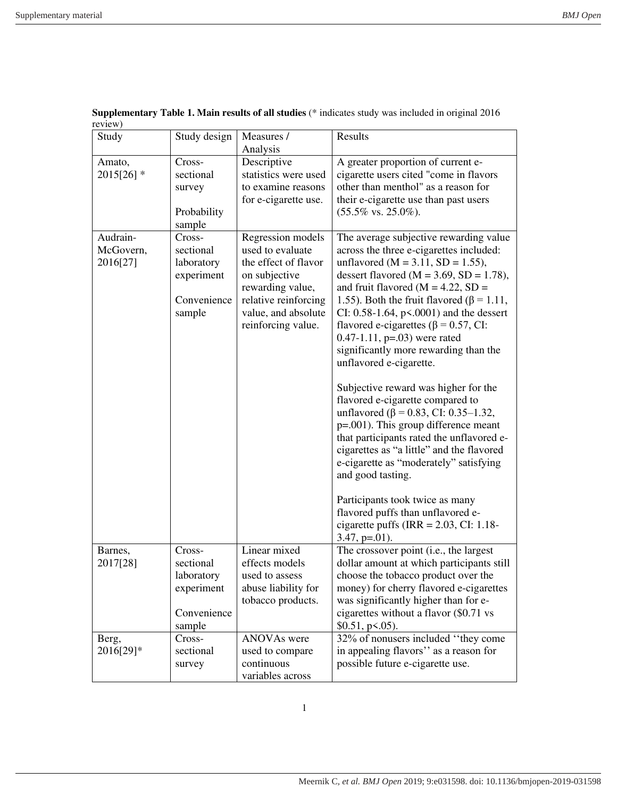| Study      | Study design | Measures /                                | Results                                                                                   |
|------------|--------------|-------------------------------------------|-------------------------------------------------------------------------------------------|
|            |              | Analysis                                  |                                                                                           |
| Amato,     | Cross-       | Descriptive                               | A greater proportion of current e-                                                        |
| 2015[26] * | sectional    | statistics were used                      | cigarette users cited "come in flavors                                                    |
|            | survey       | to examine reasons                        | other than menthol" as a reason for                                                       |
|            |              | for e-cigarette use.                      | their e-cigarette use than past users                                                     |
|            | Probability  |                                           | $(55.5\% \text{ vs. } 25.0\%).$                                                           |
|            | sample       |                                           |                                                                                           |
| Audrain-   | Cross-       | Regression models                         | The average subjective rewarding value                                                    |
| McGovern,  | sectional    | used to evaluate                          | across the three e-cigarettes included:                                                   |
| 2016[27]   | laboratory   | the effect of flavor                      | unflavored ( $M = 3.11$ , $SD = 1.55$ ),                                                  |
|            | experiment   | on subjective                             | dessert flavored ( $M = 3.69$ , $SD = 1.78$ ),                                            |
|            |              | rewarding value,                          | and fruit flavored ( $M = 4.22$ , SD =                                                    |
|            | Convenience  | relative reinforcing                      | 1.55). Both the fruit flavored ( $\beta$ = 1.11,                                          |
|            | sample       | value, and absolute<br>reinforcing value. | CI: 0.58-1.64, $p<0.001$ ) and the dessert<br>flavored e-cigarettes ( $\beta$ = 0.57, CI: |
|            |              |                                           | $0.47 - 1.11$ , p=.03) were rated                                                         |
|            |              |                                           | significantly more rewarding than the                                                     |
|            |              |                                           | unflavored e-cigarette.                                                                   |
|            |              |                                           |                                                                                           |
|            |              |                                           | Subjective reward was higher for the                                                      |
|            |              |                                           | flavored e-cigarette compared to                                                          |
|            |              |                                           | unflavored ( $\beta$ = 0.83, CI: 0.35–1.32,                                               |
|            |              |                                           | $p=.001$ ). This group difference meant                                                   |
|            |              |                                           | that participants rated the unflavored e-                                                 |
|            |              |                                           | cigarettes as "a little" and the flavored                                                 |
|            |              |                                           | e-cigarette as "moderately" satisfying                                                    |
|            |              |                                           | and good tasting.                                                                         |
|            |              |                                           |                                                                                           |
|            |              |                                           | Participants took twice as many                                                           |
|            |              |                                           | flavored puffs than unflavored e-                                                         |
|            |              |                                           | cigarette puffs (IRR = $2.03$ , CI: 1.18-                                                 |
| Barnes,    | Cross-       | Linear mixed                              | $3.47, p=01$ ).<br>The crossover point (i.e., the largest                                 |
| 2017[28]   | sectional    | effects models                            | dollar amount at which participants still                                                 |
|            | laboratory   | used to assess                            | choose the tobacco product over the                                                       |
|            | experiment   | abuse liability for                       | money) for cherry flavored e-cigarettes                                                   |
|            |              | tobacco products.                         | was significantly higher than for e-                                                      |
|            | Convenience  |                                           | cigarettes without a flavor (\$0.71 vs                                                    |
|            | sample       |                                           | \$0.51, p <. 05).                                                                         |
| Berg,      | Cross-       | ANOVAs were                               | 32% of nonusers included "they come                                                       |
| 2016[29]*  | sectional    | used to compare                           | in appealing flavors" as a reason for                                                     |
|            | survey       | continuous                                | possible future e-cigarette use.                                                          |
|            |              | variables across                          |                                                                                           |

**Supplementary Table 1. Main results of all studies** (\* indicates study was included in original 2016 review)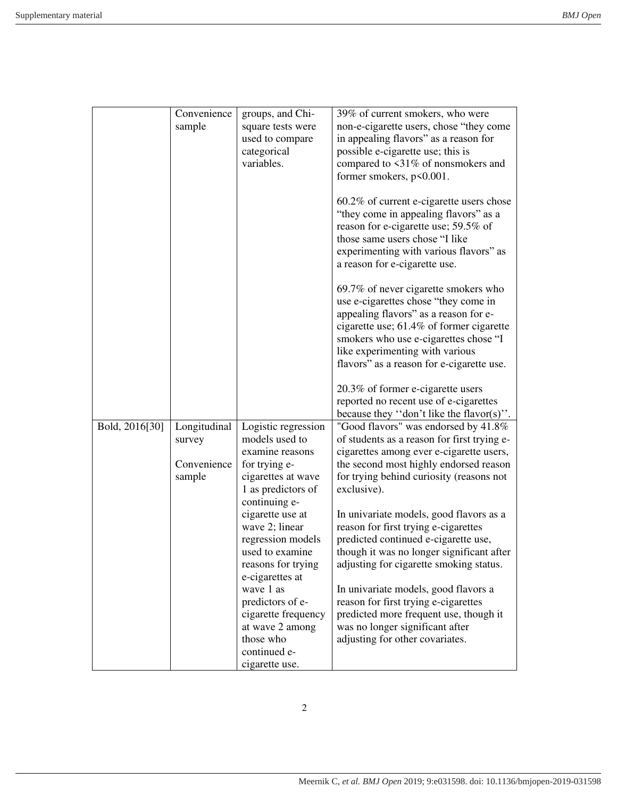|                | Convenience<br>sample                           | groups, and Chi-<br>square tests were<br>used to compare<br>categorical<br>variables.                                                  | 39% of current smokers, who were<br>non-e-cigarette users, chose "they come<br>in appealing flavors" as a reason for<br>possible e-cigarette use; this is<br>compared to <31% of nonsmokers and<br>former smokers, p<0.001.                                                                |
|----------------|-------------------------------------------------|----------------------------------------------------------------------------------------------------------------------------------------|--------------------------------------------------------------------------------------------------------------------------------------------------------------------------------------------------------------------------------------------------------------------------------------------|
|                |                                                 |                                                                                                                                        | $60.2\%$ of current e-cigarette users chose<br>"they come in appealing flavors" as a<br>reason for e-cigarette use; 59.5% of<br>those same users chose "I like<br>experimenting with various flavors" as<br>a reason for e-cigarette use.                                                  |
|                |                                                 |                                                                                                                                        | 69.7% of never cigarette smokers who<br>use e-cigarettes chose "they come in<br>appealing flavors" as a reason for e-<br>cigarette use; 61.4% of former cigarette<br>smokers who use e-cigarettes chose "I<br>like experimenting with various<br>flavors" as a reason for e-cigarette use. |
|                |                                                 |                                                                                                                                        | 20.3% of former e-cigarette users<br>reported no recent use of e-cigarettes<br>because they "don't like the flavor(s)".                                                                                                                                                                    |
| Bold, 2016[30] | Longitudinal<br>survey<br>Convenience<br>sample | Logistic regression<br>models used to<br>examine reasons<br>for trying e-<br>cigarettes at wave<br>1 as predictors of<br>continuing e- | "Good flavors" was endorsed by 41.8%<br>of students as a reason for first trying e-<br>cigarettes among ever e-cigarette users,<br>the second most highly endorsed reason<br>for trying behind curiosity (reasons not<br>exclusive).                                                       |
|                |                                                 | cigarette use at<br>wave 2; linear<br>regression models<br>used to examine<br>reasons for trying<br>e-cigarettes at                    | In univariate models, good flavors as a<br>reason for first trying e-cigarettes<br>predicted continued e-cigarette use,<br>though it was no longer significant after<br>adjusting for cigarette smoking status.                                                                            |
|                |                                                 | wave 1 as<br>predictors of e-<br>cigarette frequency<br>at wave 2 among<br>those who<br>continued e-<br>cigarette use.                 | In univariate models, good flavors a<br>reason for first trying e-cigarettes<br>predicted more frequent use, though it<br>was no longer significant after<br>adjusting for other covariates.                                                                                               |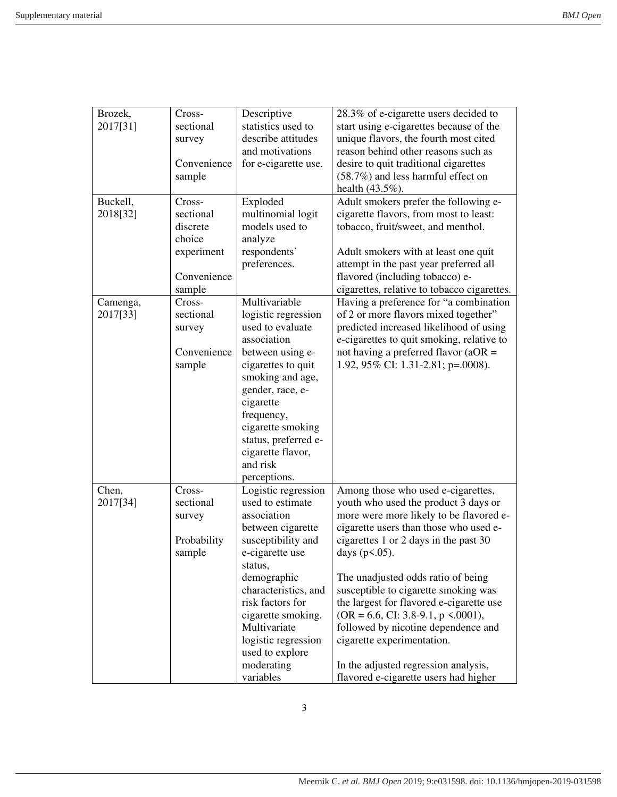| Brozek,              | Cross-      | Descriptive          | 28.3% of e-cigarette users decided to       |
|----------------------|-------------|----------------------|---------------------------------------------|
| 2017[31]             | sectional   | statistics used to   | start using e-cigarettes because of the     |
|                      | survey      | describe attitudes   | unique flavors, the fourth most cited       |
|                      |             | and motivations      | reason behind other reasons such as         |
|                      | Convenience | for e-cigarette use. | desire to quit traditional cigarettes       |
|                      | sample      |                      | (58.7%) and less harmful effect on          |
|                      |             |                      | health (43.5%).                             |
| Buckell,             | Cross-      | Exploded             | Adult smokers prefer the following e-       |
| 2018[32]             | sectional   | multinomial logit    | cigarette flavors, from most to least:      |
|                      | discrete    | models used to       | tobacco, fruit/sweet, and menthol.          |
|                      | choice      | analyze              |                                             |
|                      | experiment  | respondents'         | Adult smokers with at least one quit        |
|                      |             | preferences.         | attempt in the past year preferred all      |
|                      | Convenience |                      | flavored (including tobacco) e-             |
|                      | sample      |                      | cigarettes, relative to tobacco cigarettes. |
|                      | Cross-      | Multivariable        | Having a preference for "a combination      |
| Camenga,<br>2017[33] | sectional   | logistic regression  | of 2 or more flavors mixed together"        |
|                      |             | used to evaluate     | predicted increased likelihood of using     |
|                      | survey      | association          |                                             |
|                      |             |                      | e-cigarettes to quit smoking, relative to   |
|                      | Convenience | between using e-     | not having a preferred flavor ( $aOR =$     |
|                      | sample      | cigarettes to quit   | 1.92, 95% CI: 1.31-2.81; p=.0008).          |
|                      |             | smoking and age,     |                                             |
|                      |             | gender, race, e-     |                                             |
|                      |             | cigarette            |                                             |
|                      |             | frequency,           |                                             |
|                      |             | cigarette smoking    |                                             |
|                      |             | status, preferred e- |                                             |
|                      |             | cigarette flavor,    |                                             |
|                      |             | and risk             |                                             |
|                      |             | perceptions.         |                                             |
| Chen,                | Cross-      | Logistic regression  | Among those who used e-cigarettes,          |
| 2017[34]             | sectional   | used to estimate     | youth who used the product 3 days or        |
|                      | survey      | association          | more were more likely to be flavored e-     |
|                      |             | between cigarette    | cigarette users than those who used e-      |
|                      | Probability | susceptibility and   | cigarettes 1 or 2 days in the past 30       |
|                      | sample      | e-cigarette use      | days $(p<.05)$ .                            |
|                      |             | status,              |                                             |
|                      |             | demographic          | The unadjusted odds ratio of being          |
|                      |             | characteristics, and | susceptible to cigarette smoking was        |
|                      |             | risk factors for     | the largest for flavored e-cigarette use    |
|                      |             | cigarette smoking.   | $(OR = 6.6, CI: 3.8-9.1, p \le 0.0001),$    |
|                      |             | Multivariate         | followed by nicotine dependence and         |
|                      |             | logistic regression  | cigarette experimentation.                  |
|                      |             | used to explore      |                                             |
|                      |             | moderating           | In the adjusted regression analysis,        |
|                      |             | variables            | flavored e-cigarette users had higher       |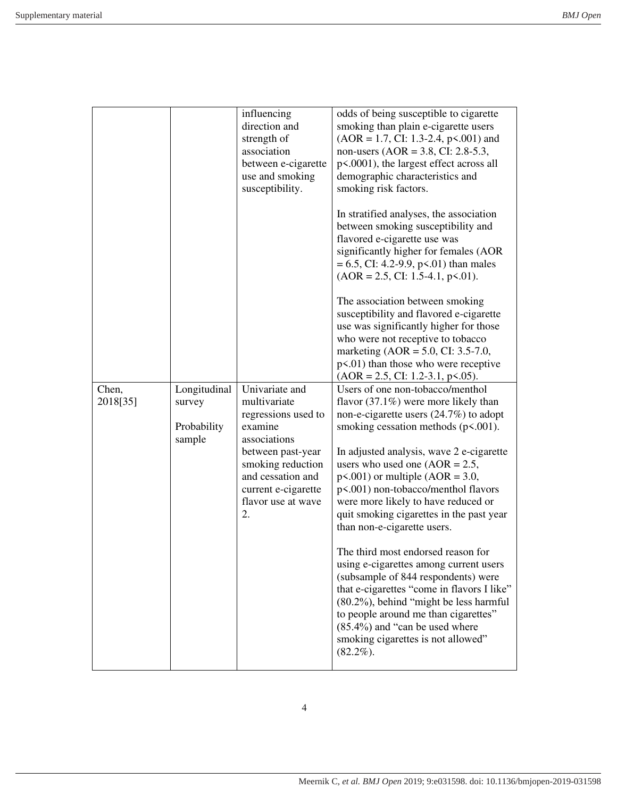|                                                 | influencing<br>direction and<br>strength of<br>association<br>between e-cigarette<br>use and smoking<br>susceptibility. | odds of being susceptible to cigarette<br>smoking than plain e-cigarette users<br>$(AOR = 1.7, CI: 1.3-2.4, p<0.001)$ and<br>non-users (AOR = 3.8, CI: 2.8-5.3,<br>p<.0001), the largest effect across all<br>demographic characteristics and<br>smoking risk factors.              |
|-------------------------------------------------|-------------------------------------------------------------------------------------------------------------------------|-------------------------------------------------------------------------------------------------------------------------------------------------------------------------------------------------------------------------------------------------------------------------------------|
|                                                 |                                                                                                                         | In stratified analyses, the association<br>between smoking susceptibility and<br>flavored e-cigarette use was<br>significantly higher for females (AOR<br>$= 6.5$ , CI: 4.2-9.9, p<.01) than males<br>$(AOR = 2.5, CI: 1.5-4.1, p<0.01).$                                           |
|                                                 |                                                                                                                         | The association between smoking<br>susceptibility and flavored e-cigarette<br>use was significantly higher for those<br>who were not receptive to tobacco<br>marketing $(AOR = 5.0, CI: 3.5-7.0,$<br>$p<.01$ ) than those who were receptive<br>$(AOR = 2.5, CI: 1.2-3.1, p<0.05).$ |
| Longitudinal<br>survey<br>Probability<br>sample | Univariate and<br>multivariate<br>regressions used to<br>examine<br>associations<br>between past-year                   | Users of one non-tobacco/menthol<br>flavor $(37.1\%)$ were more likely than<br>non-e-cigarette users $(24.7%)$ to adopt<br>smoking cessation methods $(p<.001)$ .<br>In adjusted analysis, wave 2 e-cigarette                                                                       |
|                                                 | smoking reduction<br>and cessation and<br>current e-cigarette<br>flavor use at wave<br>2.                               | users who used one $(AOR = 2.5,$<br>$p<0.001$ or multiple (AOR = 3.0,<br>p<.001) non-tobacco/menthol flavors<br>were more likely to have reduced or<br>quit smoking cigarettes in the past year<br>than non-e-cigarette users.                                                      |
|                                                 |                                                                                                                         | The third most endorsed reason for<br>using e-cigarettes among current users<br>(subsample of 844 respondents) were<br>that e-cigarettes "come in flavors I like"<br>(80.2%), behind "might be less harmful<br>to people around me than cigarettes"                                 |
|                                                 |                                                                                                                         |                                                                                                                                                                                                                                                                                     |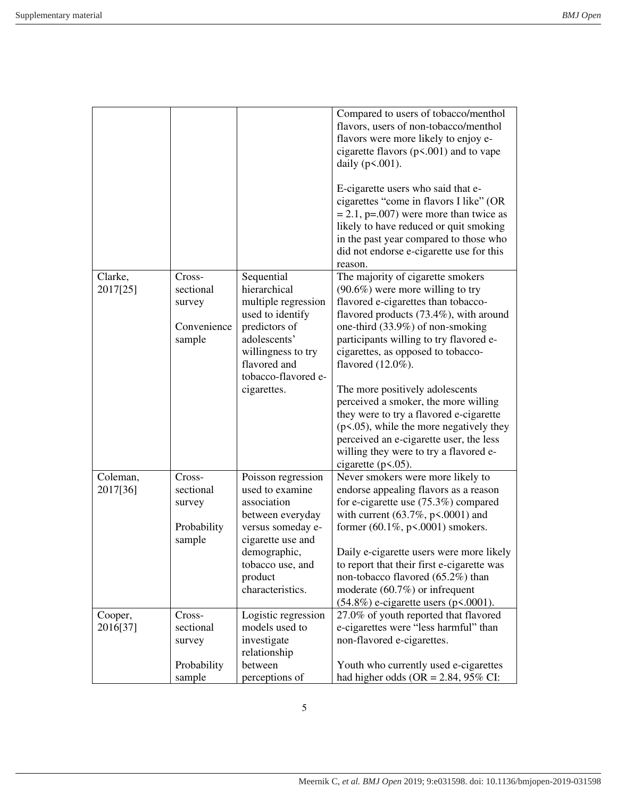|                      |                                                        |                                                                                                                                                                                       | Compared to users of tobacco/menthol<br>flavors, users of non-tobacco/menthol<br>flavors were more likely to enjoy e-<br>cigarette flavors $(p<.001)$ and to vape<br>daily $(p<.001)$ .<br>E-cigarette users who said that e-<br>cigarettes "come in flavors I like" (OR<br>$= 2.1$ , p=.007) were more than twice as<br>likely to have reduced or quit smoking<br>in the past year compared to those who<br>did not endorse e-cigarette use for this<br>reason.                                                                                                                          |
|----------------------|--------------------------------------------------------|---------------------------------------------------------------------------------------------------------------------------------------------------------------------------------------|-------------------------------------------------------------------------------------------------------------------------------------------------------------------------------------------------------------------------------------------------------------------------------------------------------------------------------------------------------------------------------------------------------------------------------------------------------------------------------------------------------------------------------------------------------------------------------------------|
| Clarke,<br>2017[25]  | Cross-<br>sectional<br>survey<br>Convenience<br>sample | Sequential<br>hierarchical<br>multiple regression<br>used to identify<br>predictors of<br>adolescents'<br>willingness to try<br>flavored and<br>tobacco-flavored e-<br>cigarettes.    | The majority of cigarette smokers<br>$(90.6\%)$ were more willing to try<br>flavored e-cigarettes than tobacco-<br>flavored products $(73.4\%)$ , with around<br>one-third (33.9%) of non-smoking<br>participants willing to try flavored e-<br>cigarettes, as opposed to tobacco-<br>flavored (12.0%).<br>The more positively adolescents<br>perceived a smoker, the more willing<br>they were to try a flavored e-cigarette<br>$(p<.05)$ , while the more negatively they<br>perceived an e-cigarette user, the less<br>willing they were to try a flavored e-<br>cigarette $(p<.05)$ . |
| Coleman,<br>2017[36] | Cross-<br>sectional<br>survey<br>Probability<br>sample | Poisson regression<br>used to examine<br>association<br>between everyday<br>versus someday e-<br>cigarette use and<br>demographic,<br>tobacco use, and<br>product<br>characteristics. | Never smokers were more likely to<br>endorse appealing flavors as a reason<br>for e-cigarette use $(75.3\%)$ compared<br>with current $(63.7\%, p<.0001)$ and<br>former $(60.1\%, p<.0001)$ smokers.<br>Daily e-cigarette users were more likely<br>to report that their first e-cigarette was<br>non-tobacco flavored (65.2%) than<br>moderate $(60.7%)$ or infrequent<br>$(54.8\%)$ e-cigarette users (p<.0001).                                                                                                                                                                        |
| Cooper,<br>2016[37]  | Cross-<br>sectional<br>survey<br>Probability<br>sample | Logistic regression<br>models used to<br>investigate<br>relationship<br>between<br>perceptions of                                                                                     | 27.0% of youth reported that flavored<br>e-cigarettes were "less harmful" than<br>non-flavored e-cigarettes.<br>Youth who currently used e-cigarettes<br>had higher odds (OR = $2.84$ , 95% CI:                                                                                                                                                                                                                                                                                                                                                                                           |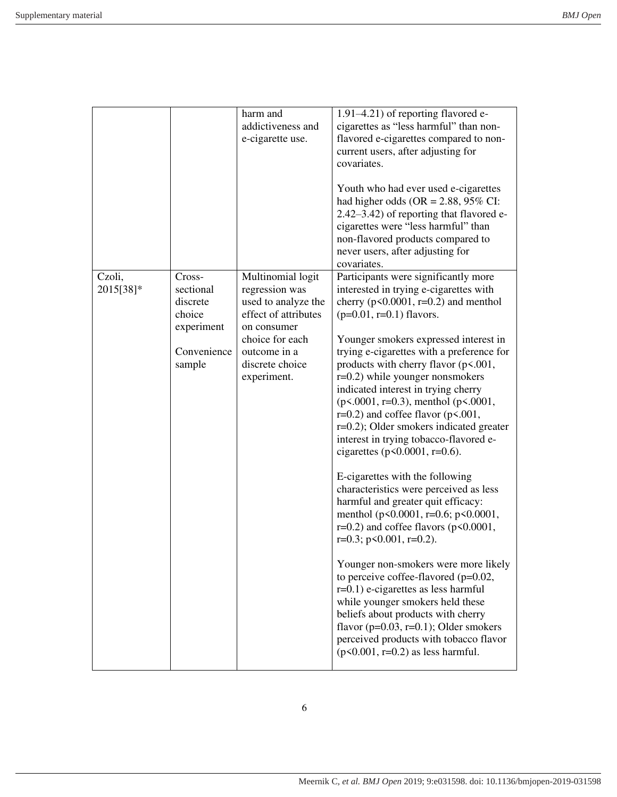|                     |                                                                                  | harm and<br>addictiveness and<br>e-cigarette use.                                                                                                                      | 1.91–4.21) of reporting flavored e-<br>cigarettes as "less harmful" than non-<br>flavored e-cigarettes compared to non-<br>current users, after adjusting for<br>covariates.<br>Youth who had ever used e-cigarettes<br>had higher odds (OR = $2.88$ , 95% CI:<br>2.42–3.42) of reporting that flavored e-<br>cigarettes were "less harmful" than<br>non-flavored products compared to<br>never users, after adjusting for                                                                                                                                                                                                                                                                                                                                                                                                                                                                                                                                                                                                                                                                                                                                                                                 |
|---------------------|----------------------------------------------------------------------------------|------------------------------------------------------------------------------------------------------------------------------------------------------------------------|------------------------------------------------------------------------------------------------------------------------------------------------------------------------------------------------------------------------------------------------------------------------------------------------------------------------------------------------------------------------------------------------------------------------------------------------------------------------------------------------------------------------------------------------------------------------------------------------------------------------------------------------------------------------------------------------------------------------------------------------------------------------------------------------------------------------------------------------------------------------------------------------------------------------------------------------------------------------------------------------------------------------------------------------------------------------------------------------------------------------------------------------------------------------------------------------------------|
| Czoli,<br>2015[38]* | Cross-<br>sectional<br>discrete<br>choice<br>experiment<br>Convenience<br>sample | Multinomial logit<br>regression was<br>used to analyze the<br>effect of attributes<br>on consumer<br>choice for each<br>outcome in a<br>discrete choice<br>experiment. | covariates.<br>Participants were significantly more<br>interested in trying e-cigarettes with<br>cherry ( $p \le 0.0001$ , $r=0.2$ ) and menthol<br>$(p=0.01, r=0.1)$ flavors.<br>Younger smokers expressed interest in<br>trying e-cigarettes with a preference for<br>products with cherry flavor $(p<.001,$<br>$r=0.2$ ) while younger nonsmokers<br>indicated interest in trying cherry<br>$(p<.0001, r=0.3)$ , menthol $(p<.0001,$<br>$r=0.2$ ) and coffee flavor ( $p<0.001$ ,<br>$r=0.2$ ); Older smokers indicated greater<br>interest in trying tobacco-flavored e-<br>cigarettes ( $p$ <0.0001, $r$ =0.6).<br>E-cigarettes with the following<br>characteristics were perceived as less<br>harmful and greater quit efficacy:<br>menthol (p<0.0001, r=0.6; p<0.0001,<br>$r=0.2$ ) and coffee flavors ( $p<0.0001$ ,<br>$r=0.3$ ; $p<0.001$ , $r=0.2$ ).<br>Younger non-smokers were more likely<br>to perceive coffee-flavored ( $p=0.02$ ,<br>$r=0.1$ ) e-cigarettes as less harmful<br>while younger smokers held these<br>beliefs about products with cherry<br>flavor ( $p=0.03$ , $r=0.1$ ); Older smokers<br>perceived products with tobacco flavor<br>$(p<0.001, r=0.2)$ as less harmful. |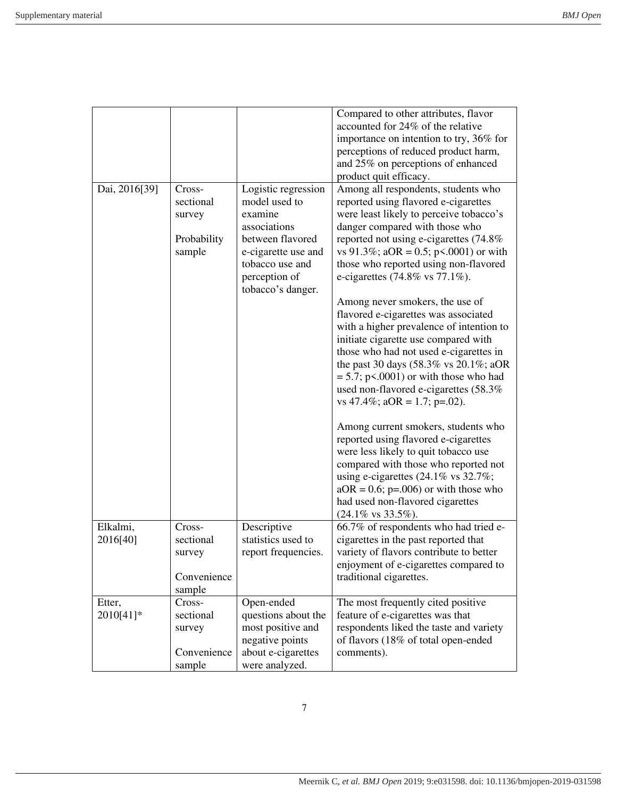| accounted for 24% of the relative<br>importance on intention to try, 36% for<br>perceptions of reduced product harm,<br>and 25% on perceptions of enhanced<br>product quit efficacy.<br>Dai, 2016[39]<br>Logistic regression<br>Among all respondents, students who<br>Cross-<br>sectional<br>reported using flavored e-cigarettes<br>model used to<br>examine<br>were least likely to perceive tobacco's<br>survey<br>associations<br>danger compared with those who<br>between flavored<br>reported not using e-cigarettes (74.8%<br>Probability<br>e-cigarette use and<br>vs 91.3%; aOR = 0.5; p < 0.001) or with<br>sample<br>tobacco use and<br>those who reported using non-flavored<br>perception of<br>e-cigarettes $(74.8\% \text{ vs } 77.1\%).$<br>tobacco's danger.<br>Among never smokers, the use of<br>flavored e-cigarettes was associated<br>with a higher prevalence of intention to<br>initiate cigarette use compared with<br>those who had not used e-cigarettes in<br>the past 30 days $(58.3\% \text{ vs } 20.1\%; aOR)$<br>$= 5.7$ ; p<.0001) or with those who had<br>used non-flavored e-cigarettes (58.3%<br>vs 47.4%; $aOR = 1.7$ ; $p=.02$ ).<br>Among current smokers, students who<br>reported using flavored e-cigarettes<br>were less likely to quit tobacco use<br>compared with those who reported not<br>using e-cigarettes $(24.1\% \text{ vs } 32.7\%);$<br>$aOR = 0.6$ ; p=.006) or with those who<br>had used non-flavored cigarettes<br>$(24.1\% \text{ vs } 33.5\%).$<br>Elkalmi,<br>Cross-<br>Descriptive<br>66.7% of respondents who had tried e-<br>2016[40]<br>sectional<br>statistics used to<br>cigarettes in the past reported that<br>variety of flavors contribute to better<br>report frequencies.<br>survey<br>enjoyment of e-cigarettes compared to<br>Convenience<br>traditional cigarettes.<br>sample<br>Open-ended<br>The most frequently cited positive<br>Etter,<br>Cross-<br>2010[41]*<br>sectional<br>questions about the<br>feature of e-cigarettes was that<br>most positive and<br>respondents liked the taste and variety<br>survey<br>negative points<br>of flavors (18% of total open-ended<br>Convenience<br>about e-cigarettes<br>comments). |  |                                      |
|-------------------------------------------------------------------------------------------------------------------------------------------------------------------------------------------------------------------------------------------------------------------------------------------------------------------------------------------------------------------------------------------------------------------------------------------------------------------------------------------------------------------------------------------------------------------------------------------------------------------------------------------------------------------------------------------------------------------------------------------------------------------------------------------------------------------------------------------------------------------------------------------------------------------------------------------------------------------------------------------------------------------------------------------------------------------------------------------------------------------------------------------------------------------------------------------------------------------------------------------------------------------------------------------------------------------------------------------------------------------------------------------------------------------------------------------------------------------------------------------------------------------------------------------------------------------------------------------------------------------------------------------------------------------------------------------------------------------------------------------------------------------------------------------------------------------------------------------------------------------------------------------------------------------------------------------------------------------------------------------------------------------------------------------------------------------------------------------------------------------------------------------------------------------------------------------------------------------|--|--------------------------------------|
|                                                                                                                                                                                                                                                                                                                                                                                                                                                                                                                                                                                                                                                                                                                                                                                                                                                                                                                                                                                                                                                                                                                                                                                                                                                                                                                                                                                                                                                                                                                                                                                                                                                                                                                                                                                                                                                                                                                                                                                                                                                                                                                                                                                                                   |  | Compared to other attributes, flavor |
|                                                                                                                                                                                                                                                                                                                                                                                                                                                                                                                                                                                                                                                                                                                                                                                                                                                                                                                                                                                                                                                                                                                                                                                                                                                                                                                                                                                                                                                                                                                                                                                                                                                                                                                                                                                                                                                                                                                                                                                                                                                                                                                                                                                                                   |  |                                      |
|                                                                                                                                                                                                                                                                                                                                                                                                                                                                                                                                                                                                                                                                                                                                                                                                                                                                                                                                                                                                                                                                                                                                                                                                                                                                                                                                                                                                                                                                                                                                                                                                                                                                                                                                                                                                                                                                                                                                                                                                                                                                                                                                                                                                                   |  |                                      |
|                                                                                                                                                                                                                                                                                                                                                                                                                                                                                                                                                                                                                                                                                                                                                                                                                                                                                                                                                                                                                                                                                                                                                                                                                                                                                                                                                                                                                                                                                                                                                                                                                                                                                                                                                                                                                                                                                                                                                                                                                                                                                                                                                                                                                   |  |                                      |
|                                                                                                                                                                                                                                                                                                                                                                                                                                                                                                                                                                                                                                                                                                                                                                                                                                                                                                                                                                                                                                                                                                                                                                                                                                                                                                                                                                                                                                                                                                                                                                                                                                                                                                                                                                                                                                                                                                                                                                                                                                                                                                                                                                                                                   |  |                                      |
|                                                                                                                                                                                                                                                                                                                                                                                                                                                                                                                                                                                                                                                                                                                                                                                                                                                                                                                                                                                                                                                                                                                                                                                                                                                                                                                                                                                                                                                                                                                                                                                                                                                                                                                                                                                                                                                                                                                                                                                                                                                                                                                                                                                                                   |  |                                      |
|                                                                                                                                                                                                                                                                                                                                                                                                                                                                                                                                                                                                                                                                                                                                                                                                                                                                                                                                                                                                                                                                                                                                                                                                                                                                                                                                                                                                                                                                                                                                                                                                                                                                                                                                                                                                                                                                                                                                                                                                                                                                                                                                                                                                                   |  |                                      |
|                                                                                                                                                                                                                                                                                                                                                                                                                                                                                                                                                                                                                                                                                                                                                                                                                                                                                                                                                                                                                                                                                                                                                                                                                                                                                                                                                                                                                                                                                                                                                                                                                                                                                                                                                                                                                                                                                                                                                                                                                                                                                                                                                                                                                   |  |                                      |
|                                                                                                                                                                                                                                                                                                                                                                                                                                                                                                                                                                                                                                                                                                                                                                                                                                                                                                                                                                                                                                                                                                                                                                                                                                                                                                                                                                                                                                                                                                                                                                                                                                                                                                                                                                                                                                                                                                                                                                                                                                                                                                                                                                                                                   |  |                                      |
|                                                                                                                                                                                                                                                                                                                                                                                                                                                                                                                                                                                                                                                                                                                                                                                                                                                                                                                                                                                                                                                                                                                                                                                                                                                                                                                                                                                                                                                                                                                                                                                                                                                                                                                                                                                                                                                                                                                                                                                                                                                                                                                                                                                                                   |  |                                      |
|                                                                                                                                                                                                                                                                                                                                                                                                                                                                                                                                                                                                                                                                                                                                                                                                                                                                                                                                                                                                                                                                                                                                                                                                                                                                                                                                                                                                                                                                                                                                                                                                                                                                                                                                                                                                                                                                                                                                                                                                                                                                                                                                                                                                                   |  |                                      |
|                                                                                                                                                                                                                                                                                                                                                                                                                                                                                                                                                                                                                                                                                                                                                                                                                                                                                                                                                                                                                                                                                                                                                                                                                                                                                                                                                                                                                                                                                                                                                                                                                                                                                                                                                                                                                                                                                                                                                                                                                                                                                                                                                                                                                   |  |                                      |
|                                                                                                                                                                                                                                                                                                                                                                                                                                                                                                                                                                                                                                                                                                                                                                                                                                                                                                                                                                                                                                                                                                                                                                                                                                                                                                                                                                                                                                                                                                                                                                                                                                                                                                                                                                                                                                                                                                                                                                                                                                                                                                                                                                                                                   |  |                                      |
|                                                                                                                                                                                                                                                                                                                                                                                                                                                                                                                                                                                                                                                                                                                                                                                                                                                                                                                                                                                                                                                                                                                                                                                                                                                                                                                                                                                                                                                                                                                                                                                                                                                                                                                                                                                                                                                                                                                                                                                                                                                                                                                                                                                                                   |  |                                      |
|                                                                                                                                                                                                                                                                                                                                                                                                                                                                                                                                                                                                                                                                                                                                                                                                                                                                                                                                                                                                                                                                                                                                                                                                                                                                                                                                                                                                                                                                                                                                                                                                                                                                                                                                                                                                                                                                                                                                                                                                                                                                                                                                                                                                                   |  |                                      |
|                                                                                                                                                                                                                                                                                                                                                                                                                                                                                                                                                                                                                                                                                                                                                                                                                                                                                                                                                                                                                                                                                                                                                                                                                                                                                                                                                                                                                                                                                                                                                                                                                                                                                                                                                                                                                                                                                                                                                                                                                                                                                                                                                                                                                   |  |                                      |
|                                                                                                                                                                                                                                                                                                                                                                                                                                                                                                                                                                                                                                                                                                                                                                                                                                                                                                                                                                                                                                                                                                                                                                                                                                                                                                                                                                                                                                                                                                                                                                                                                                                                                                                                                                                                                                                                                                                                                                                                                                                                                                                                                                                                                   |  |                                      |
|                                                                                                                                                                                                                                                                                                                                                                                                                                                                                                                                                                                                                                                                                                                                                                                                                                                                                                                                                                                                                                                                                                                                                                                                                                                                                                                                                                                                                                                                                                                                                                                                                                                                                                                                                                                                                                                                                                                                                                                                                                                                                                                                                                                                                   |  |                                      |
|                                                                                                                                                                                                                                                                                                                                                                                                                                                                                                                                                                                                                                                                                                                                                                                                                                                                                                                                                                                                                                                                                                                                                                                                                                                                                                                                                                                                                                                                                                                                                                                                                                                                                                                                                                                                                                                                                                                                                                                                                                                                                                                                                                                                                   |  |                                      |
|                                                                                                                                                                                                                                                                                                                                                                                                                                                                                                                                                                                                                                                                                                                                                                                                                                                                                                                                                                                                                                                                                                                                                                                                                                                                                                                                                                                                                                                                                                                                                                                                                                                                                                                                                                                                                                                                                                                                                                                                                                                                                                                                                                                                                   |  |                                      |
|                                                                                                                                                                                                                                                                                                                                                                                                                                                                                                                                                                                                                                                                                                                                                                                                                                                                                                                                                                                                                                                                                                                                                                                                                                                                                                                                                                                                                                                                                                                                                                                                                                                                                                                                                                                                                                                                                                                                                                                                                                                                                                                                                                                                                   |  |                                      |
|                                                                                                                                                                                                                                                                                                                                                                                                                                                                                                                                                                                                                                                                                                                                                                                                                                                                                                                                                                                                                                                                                                                                                                                                                                                                                                                                                                                                                                                                                                                                                                                                                                                                                                                                                                                                                                                                                                                                                                                                                                                                                                                                                                                                                   |  |                                      |
|                                                                                                                                                                                                                                                                                                                                                                                                                                                                                                                                                                                                                                                                                                                                                                                                                                                                                                                                                                                                                                                                                                                                                                                                                                                                                                                                                                                                                                                                                                                                                                                                                                                                                                                                                                                                                                                                                                                                                                                                                                                                                                                                                                                                                   |  |                                      |
|                                                                                                                                                                                                                                                                                                                                                                                                                                                                                                                                                                                                                                                                                                                                                                                                                                                                                                                                                                                                                                                                                                                                                                                                                                                                                                                                                                                                                                                                                                                                                                                                                                                                                                                                                                                                                                                                                                                                                                                                                                                                                                                                                                                                                   |  |                                      |
|                                                                                                                                                                                                                                                                                                                                                                                                                                                                                                                                                                                                                                                                                                                                                                                                                                                                                                                                                                                                                                                                                                                                                                                                                                                                                                                                                                                                                                                                                                                                                                                                                                                                                                                                                                                                                                                                                                                                                                                                                                                                                                                                                                                                                   |  |                                      |
|                                                                                                                                                                                                                                                                                                                                                                                                                                                                                                                                                                                                                                                                                                                                                                                                                                                                                                                                                                                                                                                                                                                                                                                                                                                                                                                                                                                                                                                                                                                                                                                                                                                                                                                                                                                                                                                                                                                                                                                                                                                                                                                                                                                                                   |  |                                      |
|                                                                                                                                                                                                                                                                                                                                                                                                                                                                                                                                                                                                                                                                                                                                                                                                                                                                                                                                                                                                                                                                                                                                                                                                                                                                                                                                                                                                                                                                                                                                                                                                                                                                                                                                                                                                                                                                                                                                                                                                                                                                                                                                                                                                                   |  |                                      |
|                                                                                                                                                                                                                                                                                                                                                                                                                                                                                                                                                                                                                                                                                                                                                                                                                                                                                                                                                                                                                                                                                                                                                                                                                                                                                                                                                                                                                                                                                                                                                                                                                                                                                                                                                                                                                                                                                                                                                                                                                                                                                                                                                                                                                   |  |                                      |
|                                                                                                                                                                                                                                                                                                                                                                                                                                                                                                                                                                                                                                                                                                                                                                                                                                                                                                                                                                                                                                                                                                                                                                                                                                                                                                                                                                                                                                                                                                                                                                                                                                                                                                                                                                                                                                                                                                                                                                                                                                                                                                                                                                                                                   |  |                                      |
|                                                                                                                                                                                                                                                                                                                                                                                                                                                                                                                                                                                                                                                                                                                                                                                                                                                                                                                                                                                                                                                                                                                                                                                                                                                                                                                                                                                                                                                                                                                                                                                                                                                                                                                                                                                                                                                                                                                                                                                                                                                                                                                                                                                                                   |  |                                      |
|                                                                                                                                                                                                                                                                                                                                                                                                                                                                                                                                                                                                                                                                                                                                                                                                                                                                                                                                                                                                                                                                                                                                                                                                                                                                                                                                                                                                                                                                                                                                                                                                                                                                                                                                                                                                                                                                                                                                                                                                                                                                                                                                                                                                                   |  |                                      |
|                                                                                                                                                                                                                                                                                                                                                                                                                                                                                                                                                                                                                                                                                                                                                                                                                                                                                                                                                                                                                                                                                                                                                                                                                                                                                                                                                                                                                                                                                                                                                                                                                                                                                                                                                                                                                                                                                                                                                                                                                                                                                                                                                                                                                   |  |                                      |
|                                                                                                                                                                                                                                                                                                                                                                                                                                                                                                                                                                                                                                                                                                                                                                                                                                                                                                                                                                                                                                                                                                                                                                                                                                                                                                                                                                                                                                                                                                                                                                                                                                                                                                                                                                                                                                                                                                                                                                                                                                                                                                                                                                                                                   |  |                                      |
|                                                                                                                                                                                                                                                                                                                                                                                                                                                                                                                                                                                                                                                                                                                                                                                                                                                                                                                                                                                                                                                                                                                                                                                                                                                                                                                                                                                                                                                                                                                                                                                                                                                                                                                                                                                                                                                                                                                                                                                                                                                                                                                                                                                                                   |  |                                      |
|                                                                                                                                                                                                                                                                                                                                                                                                                                                                                                                                                                                                                                                                                                                                                                                                                                                                                                                                                                                                                                                                                                                                                                                                                                                                                                                                                                                                                                                                                                                                                                                                                                                                                                                                                                                                                                                                                                                                                                                                                                                                                                                                                                                                                   |  |                                      |
|                                                                                                                                                                                                                                                                                                                                                                                                                                                                                                                                                                                                                                                                                                                                                                                                                                                                                                                                                                                                                                                                                                                                                                                                                                                                                                                                                                                                                                                                                                                                                                                                                                                                                                                                                                                                                                                                                                                                                                                                                                                                                                                                                                                                                   |  |                                      |
|                                                                                                                                                                                                                                                                                                                                                                                                                                                                                                                                                                                                                                                                                                                                                                                                                                                                                                                                                                                                                                                                                                                                                                                                                                                                                                                                                                                                                                                                                                                                                                                                                                                                                                                                                                                                                                                                                                                                                                                                                                                                                                                                                                                                                   |  |                                      |
|                                                                                                                                                                                                                                                                                                                                                                                                                                                                                                                                                                                                                                                                                                                                                                                                                                                                                                                                                                                                                                                                                                                                                                                                                                                                                                                                                                                                                                                                                                                                                                                                                                                                                                                                                                                                                                                                                                                                                                                                                                                                                                                                                                                                                   |  |                                      |
|                                                                                                                                                                                                                                                                                                                                                                                                                                                                                                                                                                                                                                                                                                                                                                                                                                                                                                                                                                                                                                                                                                                                                                                                                                                                                                                                                                                                                                                                                                                                                                                                                                                                                                                                                                                                                                                                                                                                                                                                                                                                                                                                                                                                                   |  |                                      |
|                                                                                                                                                                                                                                                                                                                                                                                                                                                                                                                                                                                                                                                                                                                                                                                                                                                                                                                                                                                                                                                                                                                                                                                                                                                                                                                                                                                                                                                                                                                                                                                                                                                                                                                                                                                                                                                                                                                                                                                                                                                                                                                                                                                                                   |  |                                      |
|                                                                                                                                                                                                                                                                                                                                                                                                                                                                                                                                                                                                                                                                                                                                                                                                                                                                                                                                                                                                                                                                                                                                                                                                                                                                                                                                                                                                                                                                                                                                                                                                                                                                                                                                                                                                                                                                                                                                                                                                                                                                                                                                                                                                                   |  |                                      |
|                                                                                                                                                                                                                                                                                                                                                                                                                                                                                                                                                                                                                                                                                                                                                                                                                                                                                                                                                                                                                                                                                                                                                                                                                                                                                                                                                                                                                                                                                                                                                                                                                                                                                                                                                                                                                                                                                                                                                                                                                                                                                                                                                                                                                   |  |                                      |
|                                                                                                                                                                                                                                                                                                                                                                                                                                                                                                                                                                                                                                                                                                                                                                                                                                                                                                                                                                                                                                                                                                                                                                                                                                                                                                                                                                                                                                                                                                                                                                                                                                                                                                                                                                                                                                                                                                                                                                                                                                                                                                                                                                                                                   |  |                                      |
|                                                                                                                                                                                                                                                                                                                                                                                                                                                                                                                                                                                                                                                                                                                                                                                                                                                                                                                                                                                                                                                                                                                                                                                                                                                                                                                                                                                                                                                                                                                                                                                                                                                                                                                                                                                                                                                                                                                                                                                                                                                                                                                                                                                                                   |  |                                      |
|                                                                                                                                                                                                                                                                                                                                                                                                                                                                                                                                                                                                                                                                                                                                                                                                                                                                                                                                                                                                                                                                                                                                                                                                                                                                                                                                                                                                                                                                                                                                                                                                                                                                                                                                                                                                                                                                                                                                                                                                                                                                                                                                                                                                                   |  |                                      |
|                                                                                                                                                                                                                                                                                                                                                                                                                                                                                                                                                                                                                                                                                                                                                                                                                                                                                                                                                                                                                                                                                                                                                                                                                                                                                                                                                                                                                                                                                                                                                                                                                                                                                                                                                                                                                                                                                                                                                                                                                                                                                                                                                                                                                   |  |                                      |
|                                                                                                                                                                                                                                                                                                                                                                                                                                                                                                                                                                                                                                                                                                                                                                                                                                                                                                                                                                                                                                                                                                                                                                                                                                                                                                                                                                                                                                                                                                                                                                                                                                                                                                                                                                                                                                                                                                                                                                                                                                                                                                                                                                                                                   |  |                                      |
| were analyzed.<br>sample                                                                                                                                                                                                                                                                                                                                                                                                                                                                                                                                                                                                                                                                                                                                                                                                                                                                                                                                                                                                                                                                                                                                                                                                                                                                                                                                                                                                                                                                                                                                                                                                                                                                                                                                                                                                                                                                                                                                                                                                                                                                                                                                                                                          |  |                                      |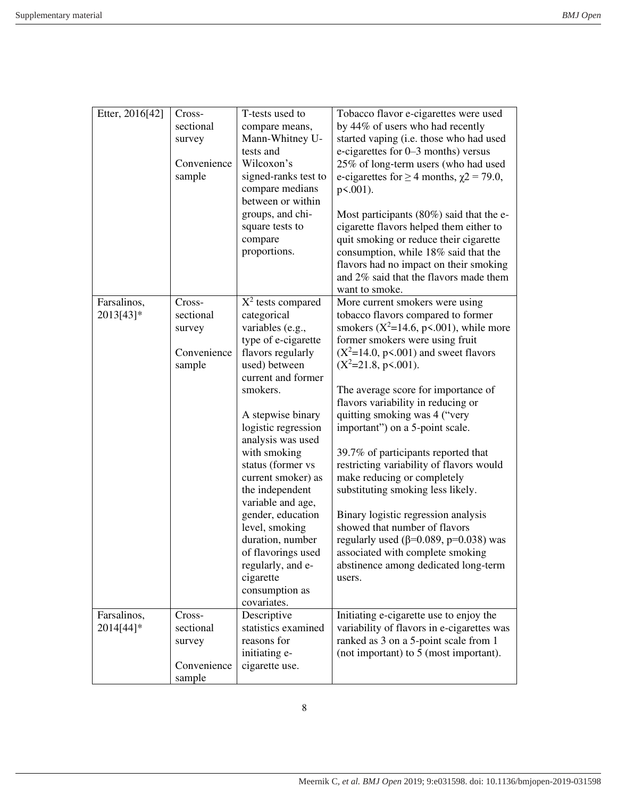| Etter, 2016[42]          | Cross-<br>sectional<br>survey<br>Convenience<br>sample | T-tests used to<br>compare means,<br>Mann-Whitney U-<br>tests and<br>Wilcoxon's<br>signed-ranks test to<br>compare medians<br>between or within<br>groups, and chi-<br>square tests to<br>compare<br>proportions.                                                                                                                                                                                                                                                              | Tobacco flavor e-cigarettes were used<br>by 44% of users who had recently<br>started vaping (i.e. those who had used<br>e-cigarettes for 0–3 months) versus<br>25% of long-term users (who had used<br>e-cigarettes for $\geq$ 4 months, $\chi$ 2 = 79.0,<br>$p<.001$ ).<br>Most participants $(80\%)$ said that the e-<br>cigarette flavors helped them either to<br>quit smoking or reduce their cigarette<br>consumption, while 18% said that the<br>flavors had no impact on their smoking<br>and 2% said that the flavors made them                                                                                                                                                                                                                                    |
|--------------------------|--------------------------------------------------------|--------------------------------------------------------------------------------------------------------------------------------------------------------------------------------------------------------------------------------------------------------------------------------------------------------------------------------------------------------------------------------------------------------------------------------------------------------------------------------|-----------------------------------------------------------------------------------------------------------------------------------------------------------------------------------------------------------------------------------------------------------------------------------------------------------------------------------------------------------------------------------------------------------------------------------------------------------------------------------------------------------------------------------------------------------------------------------------------------------------------------------------------------------------------------------------------------------------------------------------------------------------------------|
| Farsalinos,<br>2013[43]* | Cross-<br>sectional<br>survey<br>Convenience<br>sample | $X^2$ tests compared<br>categorical<br>variables (e.g.,<br>type of e-cigarette<br>flavors regularly<br>used) between<br>current and former<br>smokers.<br>A stepwise binary<br>logistic regression<br>analysis was used<br>with smoking<br>status (former vs<br>current smoker) as<br>the independent<br>variable and age,<br>gender, education<br>level, smoking<br>duration, number<br>of flavorings used<br>regularly, and e-<br>cigarette<br>consumption as<br>covariates. | want to smoke.<br>More current smokers were using<br>tobacco flavors compared to former<br>smokers ( $X^2$ =14.6, p<.001), while more<br>former smokers were using fruit<br>$(X^2=14.0, p\le 0.001)$ and sweet flavors<br>$(X^2=21.8, p\le 0.001)$ .<br>The average score for importance of<br>flavors variability in reducing or<br>quitting smoking was 4 ("very<br>important") on a 5-point scale.<br>39.7% of participants reported that<br>restricting variability of flavors would<br>make reducing or completely<br>substituting smoking less likely.<br>Binary logistic regression analysis<br>showed that number of flavors<br>regularly used ( $\beta$ =0.089, p=0.038) was<br>associated with complete smoking<br>abstinence among dedicated long-term<br>users. |
| Farsalinos,<br>2014[44]* | Cross-<br>sectional<br>survey<br>Convenience<br>sample | Descriptive<br>statistics examined<br>reasons for<br>initiating e-<br>cigarette use.                                                                                                                                                                                                                                                                                                                                                                                           | Initiating e-cigarette use to enjoy the<br>variability of flavors in e-cigarettes was<br>ranked as 3 on a 5-point scale from 1<br>(not important) to 5 (most important).                                                                                                                                                                                                                                                                                                                                                                                                                                                                                                                                                                                                    |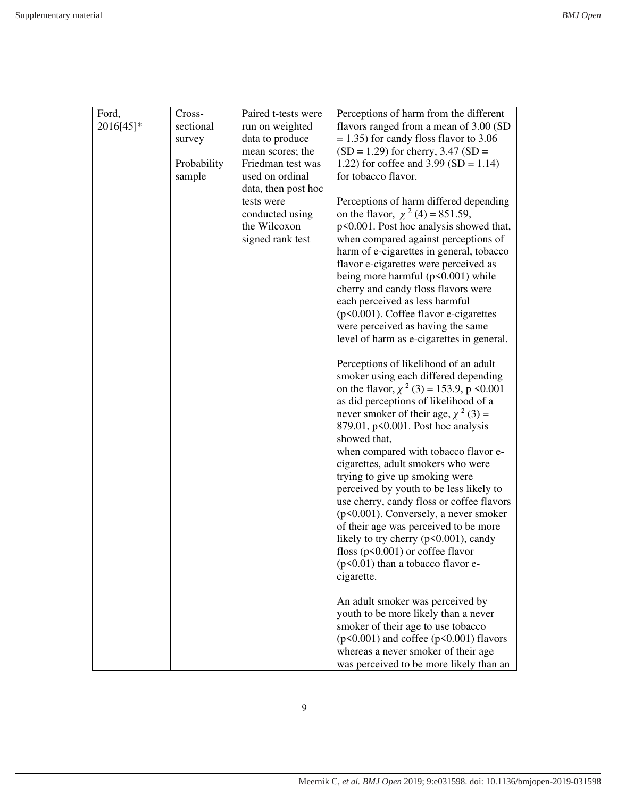| Ford,     | Cross-      | Paired t-tests were           | Perceptions of harm from the different                                          |
|-----------|-------------|-------------------------------|---------------------------------------------------------------------------------|
| 2016[45]* | sectional   | run on weighted               | flavors ranged from a mean of 3.00 (SD                                          |
|           | survey      | data to produce               | $= 1.35$ ) for candy floss flavor to 3.06                                       |
|           |             | mean scores; the              | $(SD = 1.29)$ for cherry, 3.47 $(SD =$                                          |
|           | Probability | Friedman test was             | 1.22) for coffee and $3.99$ (SD = 1.14)                                         |
|           | sample      | used on ordinal               | for tobacco flavor.                                                             |
|           |             | data, then post hoc           |                                                                                 |
|           |             | tests were<br>conducted using | Perceptions of harm differed depending<br>on the flavor, $\chi^2$ (4) = 851.59, |
|           |             | the Wilcoxon                  | p<0.001. Post hoc analysis showed that,                                         |
|           |             | signed rank test              | when compared against perceptions of                                            |
|           |             |                               | harm of e-cigarettes in general, tobacco                                        |
|           |             |                               | flavor e-cigarettes were perceived as                                           |
|           |             |                               | being more harmful $(p<0.001)$ while                                            |
|           |             |                               | cherry and candy floss flavors were                                             |
|           |             |                               | each perceived as less harmful                                                  |
|           |             |                               | (p<0.001). Coffee flavor e-cigarettes                                           |
|           |             |                               | were perceived as having the same                                               |
|           |             |                               | level of harm as e-cigarettes in general.                                       |
|           |             |                               | Perceptions of likelihood of an adult                                           |
|           |             |                               | smoker using each differed depending                                            |
|           |             |                               | on the flavor, $\chi^2$ (3) = 153.9, p <0.001                                   |
|           |             |                               | as did perceptions of likelihood of a                                           |
|           |             |                               | never smoker of their age, $\chi^2$ (3) =                                       |
|           |             |                               | 879.01, p<0.001. Post hoc analysis                                              |
|           |             |                               | showed that,                                                                    |
|           |             |                               | when compared with tobacco flavor e-                                            |
|           |             |                               | cigarettes, adult smokers who were                                              |
|           |             |                               |                                                                                 |
|           |             |                               | trying to give up smoking were                                                  |
|           |             |                               | perceived by youth to be less likely to                                         |
|           |             |                               | use cherry, candy floss or coffee flavors                                       |
|           |             |                               | $(p<0.001)$ . Conversely, a never smoker                                        |
|           |             |                               | of their age was perceived to be more                                           |
|           |             |                               | likely to try cherry (p<0.001), candy                                           |
|           |             |                               | floss ( $p$ <0.001) or coffee flavor                                            |
|           |             |                               | $(p<0.01)$ than a tobacco flavor e-                                             |
|           |             |                               | cigarette.                                                                      |
|           |             |                               | An adult smoker was perceived by                                                |
|           |             |                               | youth to be more likely than a never                                            |
|           |             |                               | smoker of their age to use tobacco                                              |
|           |             |                               | $(p<0.001)$ and coffee $(p<0.001)$ flavors                                      |
|           |             |                               | whereas a never smoker of their age                                             |
|           |             |                               | was perceived to be more likely than an                                         |
|           |             |                               |                                                                                 |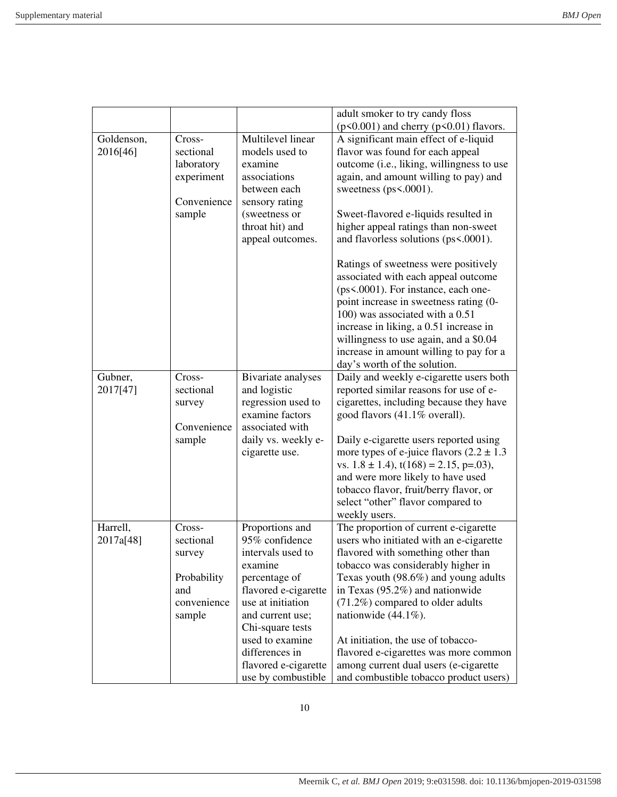|            |             |                      | adult smoker to try candy floss               |
|------------|-------------|----------------------|-----------------------------------------------|
|            |             |                      | $(p<0.001)$ and cherry $(p<0.01)$ flavors.    |
| Goldenson, | Cross-      | Multilevel linear    | A significant main effect of e-liquid         |
| 2016[46]   | sectional   | models used to       | flavor was found for each appeal              |
|            |             |                      |                                               |
|            | laboratory  | examine              | outcome (i.e., liking, willingness to use     |
|            | experiment  | associations         | again, and amount willing to pay) and         |
|            |             | between each         | sweetness (ps<.0001).                         |
|            | Convenience | sensory rating       |                                               |
|            | sample      | (sweetness or        | Sweet-flavored e-liquids resulted in          |
|            |             | throat hit) and      | higher appeal ratings than non-sweet          |
|            |             | appeal outcomes.     | and flavorless solutions (ps<.0001).          |
|            |             |                      | Ratings of sweetness were positively          |
|            |             |                      | associated with each appeal outcome           |
|            |             |                      | (ps<.0001). For instance, each one-           |
|            |             |                      | point increase in sweetness rating (0-        |
|            |             |                      | 100) was associated with a 0.51               |
|            |             |                      | increase in liking, a 0.51 increase in        |
|            |             |                      | willingness to use again, and a \$0.04        |
|            |             |                      | increase in amount willing to pay for a       |
|            |             |                      | day's worth of the solution.                  |
| Gubner,    | Cross-      | Bivariate analyses   | Daily and weekly e-cigarette users both       |
| 2017[47]   | sectional   | and logistic         | reported similar reasons for use of e-        |
|            | survey      | regression used to   | cigarettes, including because they have       |
|            |             | examine factors      | good flavors (41.1% overall).                 |
|            | Convenience | associated with      |                                               |
|            | sample      | daily vs. weekly e-  | Daily e-cigarette users reported using        |
|            |             | cigarette use.       | more types of e-juice flavors $(2.2 \pm 1.3)$ |
|            |             |                      | vs. $1.8 \pm 1.4$ , $t(168) = 2.15$ , p=.03), |
|            |             |                      | and were more likely to have used             |
|            |             |                      | tobacco flavor, fruit/berry flavor, or        |
|            |             |                      | select "other" flavor compared to             |
|            |             |                      | weekly users.                                 |
| Harrell,   | Cross-      | Proportions and      | The proportion of current e-cigarette         |
| 2017a[48]  | sectional   | 95% confidence       | users who initiated with an e-cigarette       |
|            |             | intervals used to    |                                               |
|            | survey      |                      | flavored with something other than            |
|            |             | examine              | tobacco was considerably higher in            |
|            | Probability | percentage of        | Texas youth (98.6%) and young adults          |
|            | and         | flavored e-cigarette | in Texas $(95.2\%)$ and nationwide            |
|            | convenience | use at initiation    | (71.2%) compared to older adults              |
|            | sample      | and current use;     | nationwide $(44.1\%)$ .                       |
|            |             | Chi-square tests     |                                               |
|            |             | used to examine      | At initiation, the use of tobacco-            |
|            |             | differences in       | flavored e-cigarettes was more common         |
|            |             | flavored e-cigarette | among current dual users (e-cigarette         |
|            |             | use by combustible   | and combustible tobacco product users)        |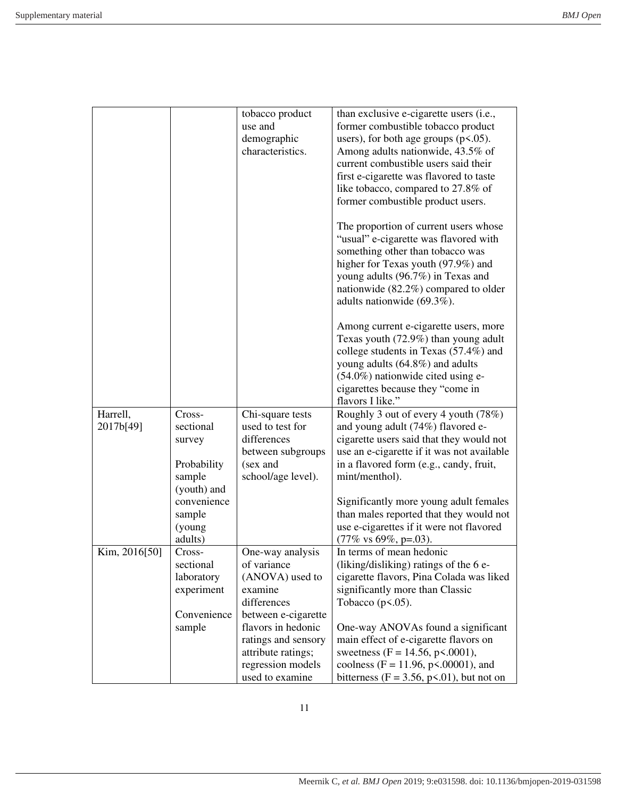|               |                       | tobacco product<br>use and<br>demographic<br>characteristics. | than exclusive e-cigarette users (i.e.,<br>former combustible tobacco product<br>users), for both age groups $(p<.05)$ .<br>Among adults nationwide, 43.5% of<br>current combustible users said their<br>first e-cigarette was flavored to taste<br>like tobacco, compared to 27.8% of<br>former combustible product users. |
|---------------|-----------------------|---------------------------------------------------------------|-----------------------------------------------------------------------------------------------------------------------------------------------------------------------------------------------------------------------------------------------------------------------------------------------------------------------------|
|               |                       |                                                               | The proportion of current users whose<br>"usual" e-cigarette was flavored with<br>something other than tobacco was<br>higher for Texas youth (97.9%) and<br>young adults (96.7%) in Texas and<br>nationwide (82.2%) compared to older<br>adults nationwide (69.3%).                                                         |
|               |                       |                                                               | Among current e-cigarette users, more<br>Texas youth (72.9%) than young adult<br>college students in Texas (57.4%) and<br>young adults (64.8%) and adults<br>$(54.0\%)$ nationwide cited using e-<br>cigarettes because they "come in<br>flavors I like."                                                                   |
| Harrell,      | Cross-                | Chi-square tests                                              | Roughly 3 out of every 4 youth (78%)                                                                                                                                                                                                                                                                                        |
| 2017b[49]     | sectional             | used to test for                                              | and young adult (74%) flavored e-                                                                                                                                                                                                                                                                                           |
|               | survey                | differences                                                   | cigarette users said that they would not                                                                                                                                                                                                                                                                                    |
|               |                       | between subgroups                                             | use an e-cigarette if it was not available                                                                                                                                                                                                                                                                                  |
|               | Probability           | (sex and                                                      | in a flavored form (e.g., candy, fruit,                                                                                                                                                                                                                                                                                     |
|               | sample<br>(youth) and | school/age level).                                            | mint/menthol).                                                                                                                                                                                                                                                                                                              |
|               | convenience           |                                                               | Significantly more young adult females                                                                                                                                                                                                                                                                                      |
|               | sample                |                                                               | than males reported that they would not                                                                                                                                                                                                                                                                                     |
|               | (young                |                                                               | use e-cigarettes if it were not flavored                                                                                                                                                                                                                                                                                    |
|               | adults)               |                                                               | $(77\% \text{ vs } 69\%, \text{ p=}.03).$                                                                                                                                                                                                                                                                                   |
| Kim, 2016[50] | Cross-                | One-way analysis                                              | In terms of mean hedonic                                                                                                                                                                                                                                                                                                    |
|               | sectional             | of variance                                                   | (liking/disliking) ratings of the 6 e-                                                                                                                                                                                                                                                                                      |
|               | laboratory            | (ANOVA) used to                                               | cigarette flavors, Pina Colada was liked                                                                                                                                                                                                                                                                                    |
|               | experiment            | examine                                                       | significantly more than Classic                                                                                                                                                                                                                                                                                             |
|               |                       | differences                                                   | Tobacco $(p<.05)$ .                                                                                                                                                                                                                                                                                                         |
|               | Convenience           | between e-cigarette                                           |                                                                                                                                                                                                                                                                                                                             |
|               | sample                | flavors in hedonic                                            | One-way ANOVAs found a significant                                                                                                                                                                                                                                                                                          |
|               |                       | ratings and sensory<br>attribute ratings;                     | main effect of e-cigarette flavors on<br>sweetness (F = 14.56, p<.0001),                                                                                                                                                                                                                                                    |
|               |                       | regression models                                             | coolness (F = 11.96, p<.00001), and                                                                                                                                                                                                                                                                                         |
|               |                       | used to examine                                               | bitterness ( $F = 3.56$ , $p \le 0.01$ ), but not on                                                                                                                                                                                                                                                                        |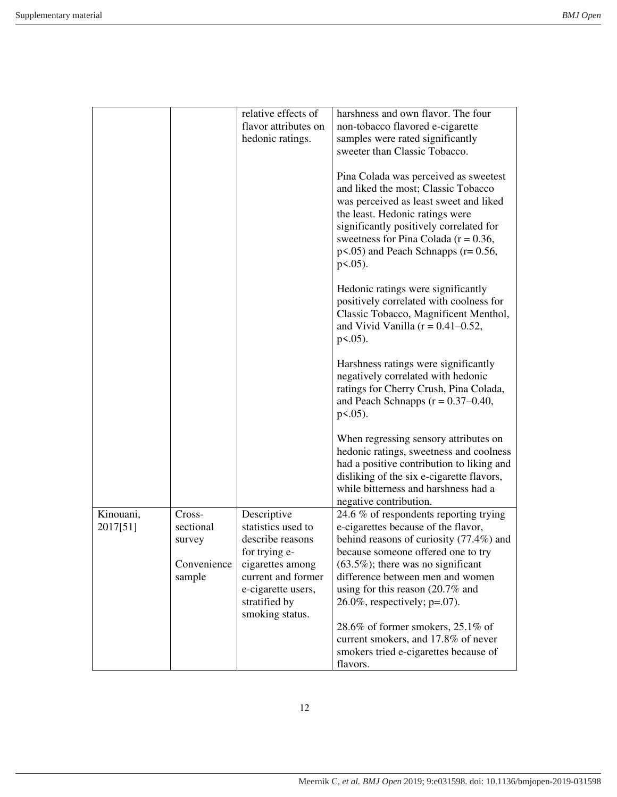| relative effects of<br>harshness and own flavor. The four<br>flavor attributes on<br>non-tobacco flavored e-cigarette                                                                                                                                                                                         |  |
|---------------------------------------------------------------------------------------------------------------------------------------------------------------------------------------------------------------------------------------------------------------------------------------------------------------|--|
|                                                                                                                                                                                                                                                                                                               |  |
| hedonic ratings.<br>samples were rated significantly                                                                                                                                                                                                                                                          |  |
| sweeter than Classic Tobacco.                                                                                                                                                                                                                                                                                 |  |
|                                                                                                                                                                                                                                                                                                               |  |
| Pina Colada was perceived as sweetest<br>and liked the most; Classic Tobacco<br>was perceived as least sweet and liked<br>the least. Hedonic ratings were<br>significantly positively correlated for<br>sweetness for Pina Colada ( $r = 0.36$ ,<br>$p<0.05$ ) and Peach Schnapps ( $r=0.56$ ,<br>$p<0.05$ ). |  |
| Hedonic ratings were significantly<br>positively correlated with coolness for<br>Classic Tobacco, Magnificent Menthol,<br>and Vivid Vanilla ( $r = 0.41 - 0.52$ ,<br>$p<0.05$ ).                                                                                                                              |  |
| Harshness ratings were significantly<br>negatively correlated with hedonic<br>ratings for Cherry Crush, Pina Colada,<br>and Peach Schnapps $(r = 0.37 - 0.40)$ ,<br>$p<0.05$ ).                                                                                                                               |  |
| When regressing sensory attributes on<br>hedonic ratings, sweetness and coolness<br>had a positive contribution to liking and<br>disliking of the six e-cigarette flavors,<br>while bitterness and harshness had a                                                                                            |  |
| negative contribution.                                                                                                                                                                                                                                                                                        |  |
| Kinouani,<br>24.6 % of respondents reporting trying<br>Cross-<br>Descriptive                                                                                                                                                                                                                                  |  |
| 2017[51]<br>sectional<br>statistics used to<br>e-cigarettes because of the flavor,                                                                                                                                                                                                                            |  |
| behind reasons of curiosity (77.4%) and<br>describe reasons<br>survey                                                                                                                                                                                                                                         |  |
| because someone offered one to try<br>for trying e-                                                                                                                                                                                                                                                           |  |
| Convenience<br>cigarettes among<br>$(63.5\%)$ ; there was no significant                                                                                                                                                                                                                                      |  |
| current and former<br>difference between men and women<br>sample                                                                                                                                                                                                                                              |  |
| using for this reason $(20.7\%$ and<br>e-cigarette users,                                                                                                                                                                                                                                                     |  |
| stratified by<br>$26.0\%$ , respectively; p=.07).<br>smoking status.                                                                                                                                                                                                                                          |  |
| 28.6% of former smokers, $25.1\%$ of                                                                                                                                                                                                                                                                          |  |
| current smokers, and 17.8% of never                                                                                                                                                                                                                                                                           |  |
| smokers tried e-cigarettes because of                                                                                                                                                                                                                                                                         |  |
| flavors.                                                                                                                                                                                                                                                                                                      |  |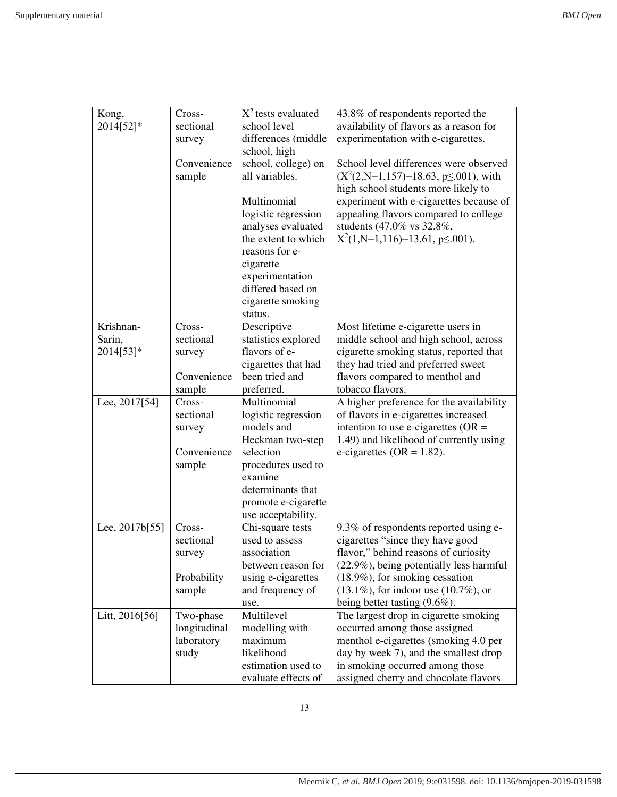| Kong,          | Cross-       | $X^2$ tests evaluated         | 43.8% of respondents reported the           |
|----------------|--------------|-------------------------------|---------------------------------------------|
| 2014[52]*      | sectional    | school level                  | availability of flavors as a reason for     |
|                | survey       | differences (middle           | experimentation with e-cigarettes.          |
|                |              | school, high                  |                                             |
|                | Convenience  | school, college) on           | School level differences were observed      |
|                | sample       | all variables.                | $(X2(2,N=1,157)=18.63, p\le 001)$ , with    |
|                |              |                               | high school students more likely to         |
|                |              | Multinomial                   | experiment with e-cigarettes because of     |
|                |              | logistic regression           | appealing flavors compared to college       |
|                |              | analyses evaluated            | students (47.0% vs 32.8%,                   |
|                |              | the extent to which           | $X^2(1,N=1,116)=13.61, p\leq 0.001$ .       |
|                |              | reasons for e-                |                                             |
|                |              | cigarette                     |                                             |
|                |              | experimentation               |                                             |
|                |              | differed based on             |                                             |
|                |              | cigarette smoking             |                                             |
|                |              | status.                       |                                             |
| Krishnan-      | Cross-       | Descriptive                   | Most lifetime e-cigarette users in          |
| Sarin,         | sectional    | statistics explored           | middle school and high school, across       |
| 2014[53]*      | survey       | flavors of e-                 | cigarette smoking status, reported that     |
|                |              | cigarettes that had           | they had tried and preferred sweet          |
|                | Convenience  | been tried and                | flavors compared to menthol and             |
|                | sample       | preferred.                    | tobacco flavors.                            |
| Lee, 2017[54]  | Cross-       | Multinomial                   | A higher preference for the availability    |
|                | sectional    | logistic regression           | of flavors in e-cigarettes increased        |
|                | survey       | models and                    | intention to use e-cigarettes ( $OR =$      |
|                |              | Heckman two-step              | 1.49) and likelihood of currently using     |
|                | Convenience  | selection                     | e-cigarettes (OR = $1.82$ ).                |
|                | sample       | procedures used to<br>examine |                                             |
|                |              | determinants that             |                                             |
|                |              | promote e-cigarette           |                                             |
|                |              | use acceptability.            |                                             |
| Lee, 2017b[55] | Cross-       | Chi-square tests              | 9.3% of respondents reported using e-       |
|                | sectional    | used to assess                | cigarettes "since they have good            |
|                |              | association                   | flavor," behind reasons of curiosity        |
|                | survey       | between reason for            | (22.9%), being potentially less harmful     |
|                | Probability  | using e-cigarettes            | $(18.9\%)$ , for smoking cessation          |
|                | sample       | and frequency of              | $(13.1\%)$ , for indoor use $(10.7\%)$ , or |
|                |              | use.                          | being better tasting $(9.6\%)$ .            |
| Litt, 2016[56] | Two-phase    | Multilevel                    | The largest drop in cigarette smoking       |
|                | longitudinal | modelling with                | occurred among those assigned               |
|                | laboratory   | maximum                       | menthol e-cigarettes (smoking 4.0 per       |
|                | study        | likelihood                    | day by week 7), and the smallest drop       |
|                |              | estimation used to            | in smoking occurred among those             |
|                |              | evaluate effects of           | assigned cherry and chocolate flavors       |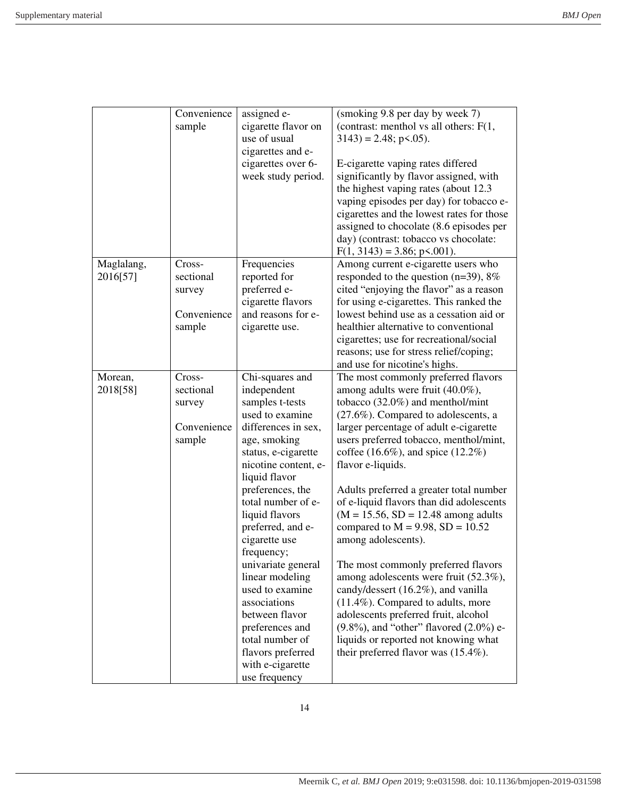|                        | Convenience<br>sample                                  | assigned e-<br>cigarette flavor on<br>use of usual<br>cigarettes and e-<br>cigarettes over 6-<br>week study period.                                                                                                                                                                                                                                                                                                                                                                       | (smoking 9.8 per day by week 7)<br>(contrast: menthol vs all others: $F(1,$<br>$3143$ ) = 2.48; p < 0.05).<br>E-cigarette vaping rates differed<br>significantly by flavor assigned, with<br>the highest vaping rates (about 12.3)<br>vaping episodes per day) for tobacco e-<br>cigarettes and the lowest rates for those<br>assigned to chocolate (8.6 episodes per<br>day) (contrast: tobacco vs chocolate:<br>$F(1, 3143) = 3.86$ ; p < 001).                                                                                                                                                                                                                                                                                                                                                                                                     |
|------------------------|--------------------------------------------------------|-------------------------------------------------------------------------------------------------------------------------------------------------------------------------------------------------------------------------------------------------------------------------------------------------------------------------------------------------------------------------------------------------------------------------------------------------------------------------------------------|-------------------------------------------------------------------------------------------------------------------------------------------------------------------------------------------------------------------------------------------------------------------------------------------------------------------------------------------------------------------------------------------------------------------------------------------------------------------------------------------------------------------------------------------------------------------------------------------------------------------------------------------------------------------------------------------------------------------------------------------------------------------------------------------------------------------------------------------------------|
| Maglalang,<br>2016[57] | Cross-<br>sectional<br>survey<br>Convenience<br>sample | Frequencies<br>reported for<br>preferred e-<br>cigarette flavors<br>and reasons for e-<br>cigarette use.                                                                                                                                                                                                                                                                                                                                                                                  | Among current e-cigarette users who<br>responded to the question ( $n=39$ ), $8\%$<br>cited "enjoying the flavor" as a reason<br>for using e-cigarettes. This ranked the<br>lowest behind use as a cessation aid or<br>healthier alternative to conventional<br>cigarettes; use for recreational/social<br>reasons; use for stress relief/coping;<br>and use for nicotine's highs.                                                                                                                                                                                                                                                                                                                                                                                                                                                                    |
| Morean,<br>2018[58]    | Cross-<br>sectional<br>survey<br>Convenience<br>sample | Chi-squares and<br>independent<br>samples t-tests<br>used to examine<br>differences in sex,<br>age, smoking<br>status, e-cigarette<br>nicotine content, e-<br>liquid flavor<br>preferences, the<br>total number of e-<br>liquid flavors<br>preferred, and e-<br>cigarette use<br>frequency;<br>univariate general<br>linear modeling<br>used to examine<br>associations<br>between flavor<br>preferences and<br>total number of<br>flavors preferred<br>with e-cigarette<br>use frequency | The most commonly preferred flavors<br>among adults were fruit (40.0%),<br>tobacco $(32.0\%)$ and menthol/mint<br>(27.6%). Compared to adolescents, a<br>larger percentage of adult e-cigarette<br>users preferred tobacco, menthol/mint,<br>coffee $(16.6\%)$ , and spice $(12.2\%)$<br>flavor e-liquids.<br>Adults preferred a greater total number<br>of e-liquid flavors than did adolescents<br>$(M = 15.56, SD = 12.48$ among adults<br>compared to $M = 9.98$ , $SD = 10.52$<br>among adolescents).<br>The most commonly preferred flavors<br>among adolescents were fruit (52.3%),<br>candy/dessert (16.2%), and vanilla<br>$(11.4\%)$ . Compared to adults, more<br>adolescents preferred fruit, alcohol<br>$(9.8\%)$ , and "other" flavored $(2.0\%)$ e-<br>liquids or reported not knowing what<br>their preferred flavor was $(15.4\%)$ . |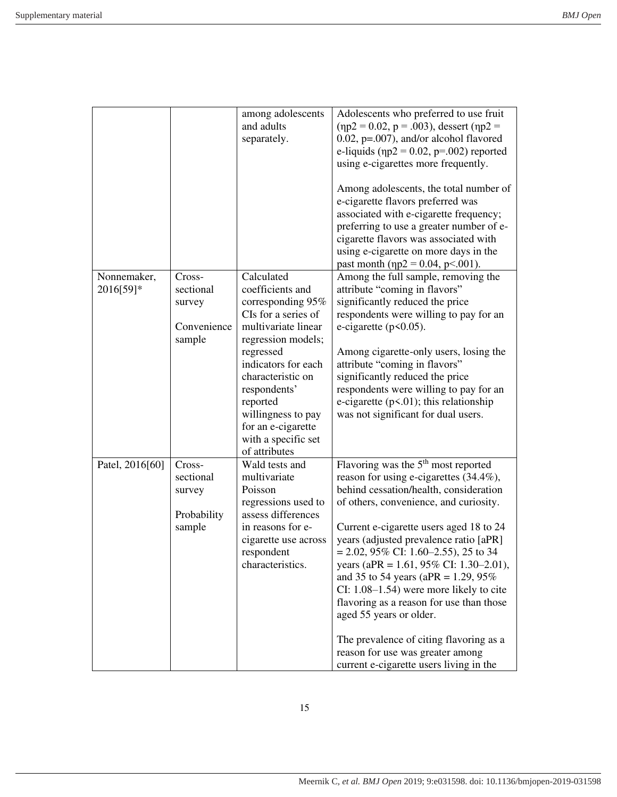|                 |             | among adolescents<br>and adults<br>separately. | Adolescents who preferred to use fruit<br>$(\eta p2 = 0.02, p = .003)$ , dessert $(\eta p2 =$<br>$0.02$ , p=.007), and/or alcohol flavored<br>e-liquids ( $np2 = 0.02$ , $p=.002$ ) reported<br>using e-cigarettes more frequently.<br>Among adolescents, the total number of<br>e-cigarette flavors preferred was<br>associated with e-cigarette frequency;<br>preferring to use a greater number of e-<br>cigarette flavors was associated with<br>using e-cigarette on more days in the |
|-----------------|-------------|------------------------------------------------|--------------------------------------------------------------------------------------------------------------------------------------------------------------------------------------------------------------------------------------------------------------------------------------------------------------------------------------------------------------------------------------------------------------------------------------------------------------------------------------------|
|                 |             |                                                | past month ( $np2 = 0.04$ , $p < .001$ ).                                                                                                                                                                                                                                                                                                                                                                                                                                                  |
| Nonnemaker,     | Cross-      | Calculated<br>coefficients and                 | Among the full sample, removing the                                                                                                                                                                                                                                                                                                                                                                                                                                                        |
| 2016[59]*       | sectional   | corresponding 95%                              | attribute "coming in flavors"<br>significantly reduced the price                                                                                                                                                                                                                                                                                                                                                                                                                           |
|                 | survey      | CIs for a series of                            | respondents were willing to pay for an                                                                                                                                                                                                                                                                                                                                                                                                                                                     |
|                 | Convenience | multivariate linear                            | e-cigarette $(p<0.05)$ .                                                                                                                                                                                                                                                                                                                                                                                                                                                                   |
|                 | sample      | regression models;                             |                                                                                                                                                                                                                                                                                                                                                                                                                                                                                            |
|                 |             | regressed                                      | Among cigarette-only users, losing the                                                                                                                                                                                                                                                                                                                                                                                                                                                     |
|                 |             | indicators for each                            | attribute "coming in flavors"                                                                                                                                                                                                                                                                                                                                                                                                                                                              |
|                 |             | characteristic on                              | significantly reduced the price                                                                                                                                                                                                                                                                                                                                                                                                                                                            |
|                 |             | respondents'                                   | respondents were willing to pay for an                                                                                                                                                                                                                                                                                                                                                                                                                                                     |
|                 |             | reported                                       | e-cigarette ( $p$ <.01); this relationship                                                                                                                                                                                                                                                                                                                                                                                                                                                 |
|                 |             | willingness to pay                             | was not significant for dual users.                                                                                                                                                                                                                                                                                                                                                                                                                                                        |
|                 |             | for an e-cigarette                             |                                                                                                                                                                                                                                                                                                                                                                                                                                                                                            |
|                 |             | with a specific set                            |                                                                                                                                                                                                                                                                                                                                                                                                                                                                                            |
|                 |             | of attributes                                  |                                                                                                                                                                                                                                                                                                                                                                                                                                                                                            |
| Patel, 2016[60] | Cross-      | Wald tests and                                 | Flavoring was the 5 <sup>th</sup> most reported                                                                                                                                                                                                                                                                                                                                                                                                                                            |
|                 | sectional   | multivariate                                   | reason for using e-cigarettes (34.4%),                                                                                                                                                                                                                                                                                                                                                                                                                                                     |
|                 | survey      | Poisson                                        | behind cessation/health, consideration                                                                                                                                                                                                                                                                                                                                                                                                                                                     |
|                 | Probability | regressions used to<br>assess differences      | of others, convenience, and curiosity.                                                                                                                                                                                                                                                                                                                                                                                                                                                     |
|                 | sample      | in reasons for e-                              | Current e-cigarette users aged 18 to 24                                                                                                                                                                                                                                                                                                                                                                                                                                                    |
|                 |             | cigarette use across                           | years (adjusted prevalence ratio [aPR]                                                                                                                                                                                                                                                                                                                                                                                                                                                     |
|                 |             | respondent                                     | $= 2.02, 95\%$ CI: 1.60–2.55), 25 to 34                                                                                                                                                                                                                                                                                                                                                                                                                                                    |
|                 |             | characteristics.                               | years (aPR = 1.61, 95% CI: 1.30–2.01),                                                                                                                                                                                                                                                                                                                                                                                                                                                     |
|                 |             |                                                | and 35 to 54 years (aPR = 1.29, 95%)                                                                                                                                                                                                                                                                                                                                                                                                                                                       |
|                 |             |                                                | CI: 1.08-1.54) were more likely to cite                                                                                                                                                                                                                                                                                                                                                                                                                                                    |
|                 |             |                                                | flavoring as a reason for use than those                                                                                                                                                                                                                                                                                                                                                                                                                                                   |
|                 |             |                                                | aged 55 years or older.                                                                                                                                                                                                                                                                                                                                                                                                                                                                    |
|                 |             |                                                | The prevalence of citing flavoring as a                                                                                                                                                                                                                                                                                                                                                                                                                                                    |
|                 |             |                                                | reason for use was greater among                                                                                                                                                                                                                                                                                                                                                                                                                                                           |
|                 |             |                                                | current e-cigarette users living in the                                                                                                                                                                                                                                                                                                                                                                                                                                                    |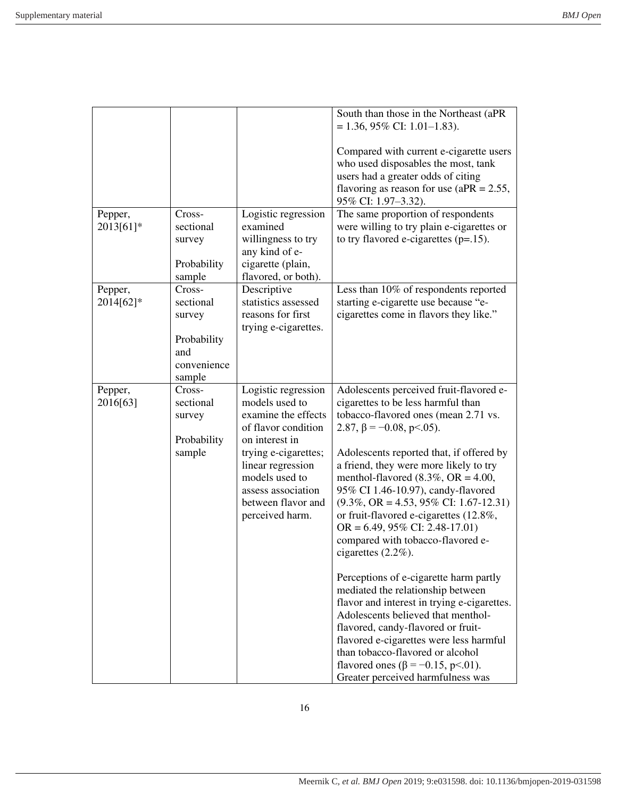|                      |                                                                              |                                                                                                                                                                                                                                     | South than those in the Northeast (aPR<br>$= 1.36, 95\%$ CI: 1.01-1.83).<br>Compared with current e-cigarette users                                                                                                                                                                                                                                                                                                                                                                                                                                                                                                                                                                                                                                                                                                                                                                                                            |
|----------------------|------------------------------------------------------------------------------|-------------------------------------------------------------------------------------------------------------------------------------------------------------------------------------------------------------------------------------|--------------------------------------------------------------------------------------------------------------------------------------------------------------------------------------------------------------------------------------------------------------------------------------------------------------------------------------------------------------------------------------------------------------------------------------------------------------------------------------------------------------------------------------------------------------------------------------------------------------------------------------------------------------------------------------------------------------------------------------------------------------------------------------------------------------------------------------------------------------------------------------------------------------------------------|
|                      |                                                                              |                                                                                                                                                                                                                                     | who used disposables the most, tank<br>users had a greater odds of citing<br>flavoring as reason for use ( $aPR = 2.55$ ,<br>95% CI: 1.97-3.32).                                                                                                                                                                                                                                                                                                                                                                                                                                                                                                                                                                                                                                                                                                                                                                               |
| Pepper,<br>2013[61]* | Cross-<br>sectional<br>survey<br>Probability<br>sample                       | Logistic regression<br>examined<br>willingness to try<br>any kind of e-<br>cigarette (plain,<br>flavored, or both).                                                                                                                 | The same proportion of respondents<br>were willing to try plain e-cigarettes or<br>to try flavored e-cigarettes $(p=15)$ .                                                                                                                                                                                                                                                                                                                                                                                                                                                                                                                                                                                                                                                                                                                                                                                                     |
| Pepper,<br>2014[62]* | Cross-<br>sectional<br>survey<br>Probability<br>and<br>convenience<br>sample | Descriptive<br>statistics assessed<br>reasons for first<br>trying e-cigarettes.                                                                                                                                                     | Less than 10% of respondents reported<br>starting e-cigarette use because "e-<br>cigarettes come in flavors they like."                                                                                                                                                                                                                                                                                                                                                                                                                                                                                                                                                                                                                                                                                                                                                                                                        |
| Pepper,<br>2016[63]  | Cross-<br>sectional<br>survey<br>Probability<br>sample                       | Logistic regression<br>models used to<br>examine the effects<br>of flavor condition<br>on interest in<br>trying e-cigarettes;<br>linear regression<br>models used to<br>assess association<br>between flavor and<br>perceived harm. | Adolescents perceived fruit-flavored e-<br>cigarettes to be less harmful than<br>tobacco-flavored ones (mean 2.71 vs.<br>2.87, $\beta$ = -0.08, p < 0.05).<br>Adolescents reported that, if offered by<br>a friend, they were more likely to try<br>menthol-flavored $(8.3\%, \text{OR} = 4.00,$<br>95% CI 1.46-10.97), candy-flavored<br>$(9.3\%, \text{OR} = 4.53, 95\% \text{ CI: } 1.67 - 12.31)$<br>or fruit-flavored e-cigarettes (12.8%,<br>$OR = 6.49, 95\%$ CI: 2.48-17.01)<br>compared with tobacco-flavored e-<br>cigarettes $(2.2\%)$ .<br>Perceptions of e-cigarette harm partly<br>mediated the relationship between<br>flavor and interest in trying e-cigarettes.<br>Adolescents believed that menthol-<br>flavored, candy-flavored or fruit-<br>flavored e-cigarettes were less harmful<br>than tobacco-flavored or alcohol<br>flavored ones ( $\beta = -0.15$ , p<.01).<br>Greater perceived harmfulness was |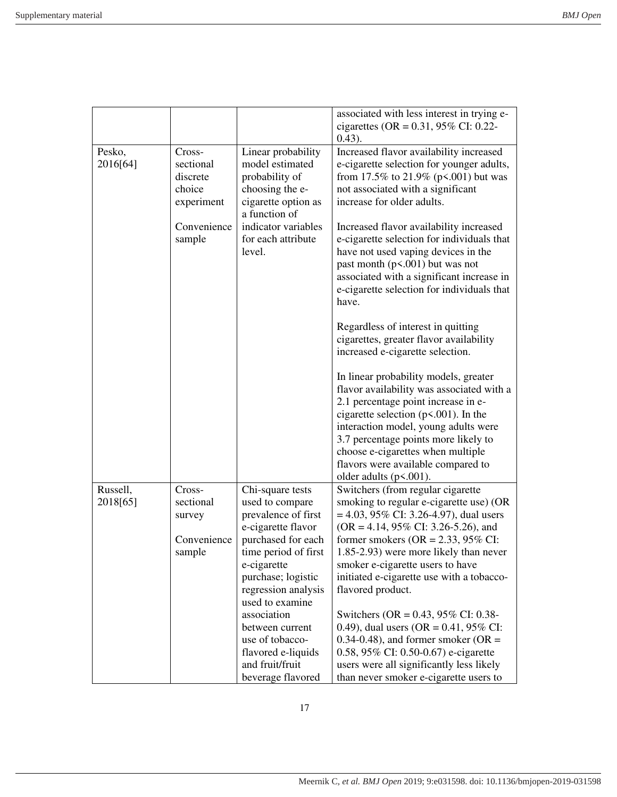|          |             |                                      | associated with less interest in trying e-<br>cigarettes (OR = $0.31$ , 95% CI: 0.22-<br>$(0.43)$ . |
|----------|-------------|--------------------------------------|-----------------------------------------------------------------------------------------------------|
| Pesko,   | Cross-      | Linear probability                   | Increased flavor availability increased                                                             |
| 2016[64] | sectional   | model estimated                      | e-cigarette selection for younger adults,                                                           |
|          | discrete    | probability of                       | from 17.5% to 21.9% ( $p$ <.001) but was                                                            |
|          | choice      | choosing the e-                      | not associated with a significant                                                                   |
|          |             |                                      | increase for older adults.                                                                          |
|          | experiment  | cigarette option as<br>a function of |                                                                                                     |
|          |             |                                      |                                                                                                     |
|          | Convenience | indicator variables                  | Increased flavor availability increased                                                             |
|          | sample      | for each attribute                   | e-cigarette selection for individuals that                                                          |
|          |             | level.                               | have not used vaping devices in the                                                                 |
|          |             |                                      | past month $(p<.001)$ but was not                                                                   |
|          |             |                                      | associated with a significant increase in                                                           |
|          |             |                                      | e-cigarette selection for individuals that                                                          |
|          |             |                                      | have.                                                                                               |
|          |             |                                      | Regardless of interest in quitting                                                                  |
|          |             |                                      | cigarettes, greater flavor availability                                                             |
|          |             |                                      | increased e-cigarette selection.                                                                    |
|          |             |                                      |                                                                                                     |
|          |             |                                      | In linear probability models, greater                                                               |
|          |             |                                      | flavor availability was associated with a                                                           |
|          |             |                                      | 2.1 percentage point increase in e-                                                                 |
|          |             |                                      | cigarette selection ( $p$ <.001). In the                                                            |
|          |             |                                      | interaction model, young adults were                                                                |
|          |             |                                      | 3.7 percentage points more likely to                                                                |
|          |             |                                      | choose e-cigarettes when multiple                                                                   |
|          |             |                                      | flavors were available compared to                                                                  |
|          |             |                                      |                                                                                                     |
| Russell, | Cross-      | Chi-square tests                     | older adults $(p<.001)$ .<br>Switchers (from regular cigarette                                      |
| 2018[65] | sectional   | used to compare                      | smoking to regular e-cigarette use) (OR                                                             |
|          | survey      | prevalence of first                  | $= 4.03, 95\% \text{ CI: } 3.26 - 4.97$ , dual users                                                |
|          |             | e-cigarette flavor                   | $(OR = 4.14, 95\% CI: 3.26-5.26)$ , and                                                             |
|          | Convenience | purchased for each                   | former smokers ( $OR = 2.33$ , 95% CI:                                                              |
|          | sample      | time period of first                 | 1.85-2.93) were more likely than never                                                              |
|          |             | e-cigarette                          | smoker e-cigarette users to have                                                                    |
|          |             | purchase; logistic                   | initiated e-cigarette use with a tobacco-                                                           |
|          |             | regression analysis                  | flavored product.                                                                                   |
|          |             | used to examine                      |                                                                                                     |
|          |             | association                          | Switchers (OR = $0.43$ , 95% CI: 0.38-                                                              |
|          |             | between current                      | 0.49), dual users (OR = $0.41$ , 95% CI:                                                            |
|          |             | use of tobacco-                      |                                                                                                     |
|          |             |                                      | 0.34-0.48), and former smoker (OR $=$                                                               |
|          |             | flavored e-liquids                   | 0.58, 95% CI: 0.50-0.67) e-cigarette                                                                |
|          |             | and fruit/fruit                      | users were all significantly less likely                                                            |
|          |             | beverage flavored                    | than never smoker e-cigarette users to                                                              |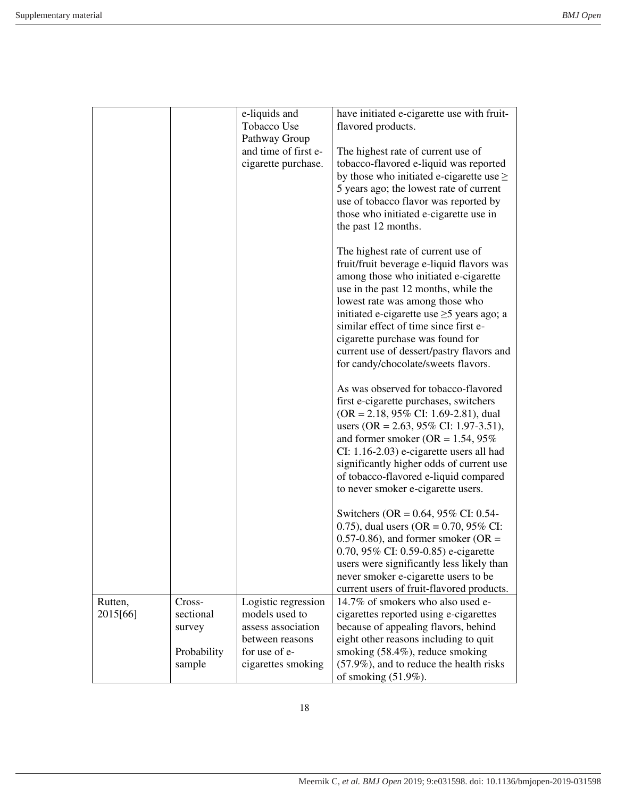|                     |             | e-liquids and                         | have initiated e-cigarette use with fruit-          |
|---------------------|-------------|---------------------------------------|-----------------------------------------------------|
|                     |             | Tobacco Use                           | flavored products.                                  |
|                     |             | Pathway Group                         |                                                     |
|                     |             | and time of first e-                  | The highest rate of current use of                  |
|                     |             | cigarette purchase.                   | tobacco-flavored e-liquid was reported              |
|                     |             |                                       | by those who initiated e-cigarette use $\geq$       |
|                     |             |                                       |                                                     |
|                     |             |                                       | 5 years ago; the lowest rate of current             |
|                     |             |                                       | use of tobacco flavor was reported by               |
|                     |             |                                       | those who initiated e-cigarette use in              |
|                     |             |                                       | the past 12 months.                                 |
|                     |             |                                       |                                                     |
|                     |             |                                       | The highest rate of current use of                  |
|                     |             |                                       | fruit/fruit beverage e-liquid flavors was           |
|                     |             |                                       | among those who initiated e-cigarette               |
|                     |             |                                       | use in the past 12 months, while the                |
|                     |             |                                       | lowest rate was among those who                     |
|                     |             |                                       | initiated e-cigarette use $\geq$ 5 years ago; a     |
|                     |             |                                       | similar effect of time since first e-               |
|                     |             |                                       | cigarette purchase was found for                    |
|                     |             |                                       | current use of dessert/pastry flavors and           |
|                     |             |                                       | for candy/chocolate/sweets flavors.                 |
|                     |             |                                       |                                                     |
|                     |             |                                       | As was observed for tobacco-flavored                |
|                     |             |                                       | first e-cigarette purchases, switchers              |
|                     |             |                                       | $(OR = 2.18, 95\% \text{ CI: } 1.69 - 2.81)$ , dual |
|                     |             |                                       | users (OR = 2.63, 95% CI: 1.97-3.51),               |
|                     |             |                                       | and former smoker (OR = $1.54$ , 95%                |
|                     |             |                                       |                                                     |
|                     |             |                                       | CI: 1.16-2.03) e-cigarette users all had            |
|                     |             |                                       | significantly higher odds of current use            |
|                     |             |                                       | of tobacco-flavored e-liquid compared               |
|                     |             |                                       | to never smoker e-cigarette users.                  |
|                     |             |                                       | Switchers (OR = $0.64$ , 95% CI: 0.54-              |
|                     |             |                                       | 0.75), dual users (OR = $0.70$ , 95% CI:            |
|                     |             |                                       | 0.57-0.86), and former smoker (OR $=$               |
|                     |             |                                       | 0.70, 95% CI: 0.59-0.85) e-cigarette                |
|                     |             |                                       | users were significantly less likely than           |
|                     |             |                                       | never smoker e-cigarette users to be                |
|                     |             |                                       | current users of fruit-flavored products.           |
|                     | Cross-      |                                       | 14.7% of smokers who also used e-                   |
| Rutten,<br>2015[66] | sectional   | Logistic regression<br>models used to |                                                     |
|                     |             |                                       | cigarettes reported using e-cigarettes              |
|                     | survey      | assess association                    | because of appealing flavors, behind                |
|                     |             | between reasons                       | eight other reasons including to quit               |
|                     | Probability | for use of e-                         | smoking (58.4%), reduce smoking                     |
|                     | sample      | cigarettes smoking                    | $(57.9\%)$ , and to reduce the health risks         |
|                     |             |                                       | of smoking $(51.9\%)$ .                             |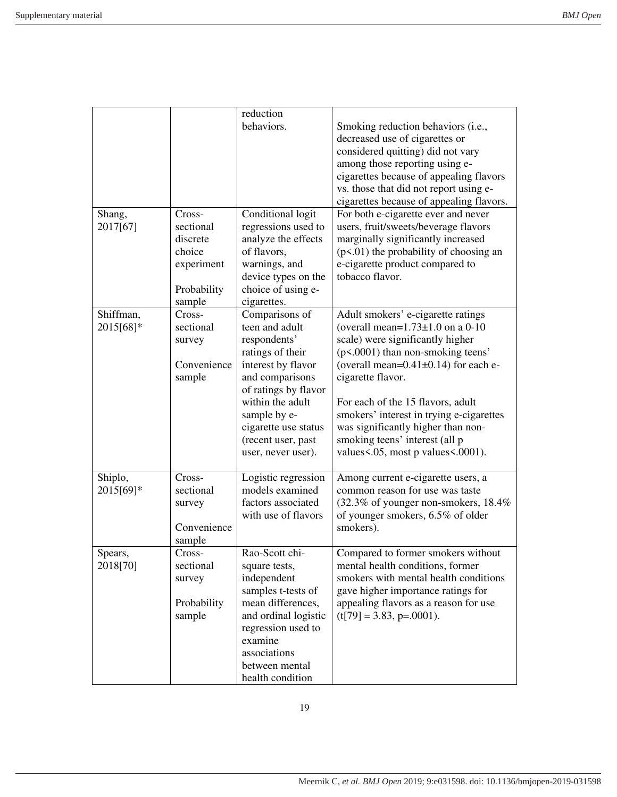|           |             | reduction            |                                            |
|-----------|-------------|----------------------|--------------------------------------------|
|           |             | behaviors.           | Smoking reduction behaviors (i.e.,         |
|           |             |                      | decreased use of cigarettes or             |
|           |             |                      | considered quitting) did not vary          |
|           |             |                      | among those reporting using e-             |
|           |             |                      | cigarettes because of appealing flavors    |
|           |             |                      | vs. those that did not report using e-     |
|           |             |                      | cigarettes because of appealing flavors.   |
| Shang,    | Cross-      | Conditional logit    | For both e-cigarette ever and never        |
| 2017[67]  | sectional   | regressions used to  | users, fruit/sweets/beverage flavors       |
|           | discrete    | analyze the effects  | marginally significantly increased         |
|           | choice      | of flavors,          | $(p<.01)$ the probability of choosing an   |
|           |             |                      |                                            |
|           | experiment  | warnings, and        | e-cigarette product compared to            |
|           |             | device types on the  | tobacco flavor.                            |
|           | Probability | choice of using e-   |                                            |
|           | sample      | cigarettes.          |                                            |
| Shiffman, | Cross-      | Comparisons of       | Adult smokers' e-cigarette ratings         |
| 2015[68]* | sectional   | teen and adult       | (overall mean= $1.73\pm1.0$ on a 0-10      |
|           | survey      | respondents'         | scale) were significantly higher           |
|           |             | ratings of their     | (p<.0001) than non-smoking teens'          |
|           | Convenience | interest by flavor   | (overall mean= $0.41\pm0.14$ ) for each e- |
|           | sample      | and comparisons      | cigarette flavor.                          |
|           |             | of ratings by flavor |                                            |
|           |             | within the adult     | For each of the 15 flavors, adult          |
|           |             | sample by e-         | smokers' interest in trying e-cigarettes   |
|           |             | cigarette use status | was significantly higher than non-         |
|           |             | (recent user, past   | smoking teens' interest (all p             |
|           |             | user, never user).   | values <.05, most p values <.0001).        |
|           |             |                      |                                            |
| Shiplo,   | Cross-      | Logistic regression  | Among current e-cigarette users, a         |
| 2015[69]* | sectional   | models examined      | common reason for use was taste            |
|           | survey      | factors associated   | (32.3% of younger non-smokers, 18.4%)      |
|           |             | with use of flavors  | of younger smokers, 6.5% of older          |
|           | Convenience |                      | smokers).                                  |
|           | sample      |                      |                                            |
| Spears,   | Cross-      | Rao-Scott chi-       | Compared to former smokers without         |
| 2018[70]  | sectional   | square tests,        | mental health conditions, former           |
|           | survey      | independent          | smokers with mental health conditions      |
|           |             | samples t-tests of   | gave higher importance ratings for         |
|           | Probability | mean differences,    | appealing flavors as a reason for use      |
|           | sample      | and ordinal logistic | $(t[79] = 3.83, p=.0001).$                 |
|           |             | regression used to   |                                            |
|           |             | examine              |                                            |
|           |             | associations         |                                            |
|           |             | between mental       |                                            |
|           |             | health condition     |                                            |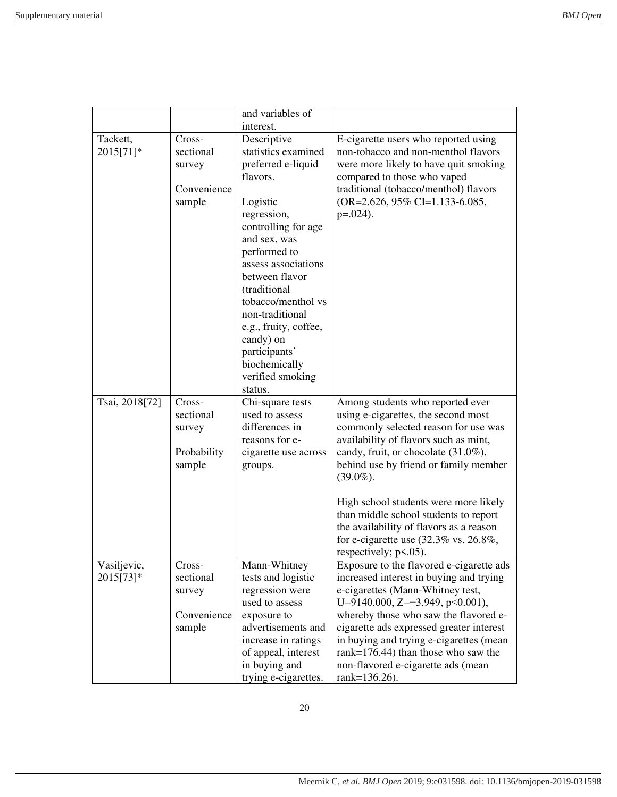|                |             | and variables of                   |                                                                                  |
|----------------|-------------|------------------------------------|----------------------------------------------------------------------------------|
|                |             | interest.                          |                                                                                  |
| Tackett,       | Cross-      | Descriptive                        | E-cigarette users who reported using                                             |
| 2015[71]*      | sectional   | statistics examined                | non-tobacco and non-menthol flavors                                              |
|                | survey      | preferred e-liquid                 | were more likely to have quit smoking                                            |
|                |             | flavors.                           | compared to those who vaped                                                      |
|                | Convenience |                                    | traditional (tobacco/menthol) flavors                                            |
|                | sample      | Logistic                           | $(OR=2.626, 95\% CI=1.133-6.085,$                                                |
|                |             | regression,                        | $p=.024$ ).                                                                      |
|                |             | controlling for age                |                                                                                  |
|                |             | and sex, was                       |                                                                                  |
|                |             | performed to                       |                                                                                  |
|                |             | assess associations                |                                                                                  |
|                |             | between flavor                     |                                                                                  |
|                |             | (traditional<br>tobacco/menthol vs |                                                                                  |
|                |             | non-traditional                    |                                                                                  |
|                |             | e.g., fruity, coffee,              |                                                                                  |
|                |             | candy) on                          |                                                                                  |
|                |             | participants'                      |                                                                                  |
|                |             | biochemically                      |                                                                                  |
|                |             | verified smoking                   |                                                                                  |
|                |             | status.                            |                                                                                  |
| Tsai, 2018[72] | Cross-      | Chi-square tests                   | Among students who reported ever                                                 |
|                | sectional   | used to assess                     | using e-cigarettes, the second most                                              |
|                | survey      | differences in                     | commonly selected reason for use was                                             |
|                |             | reasons for e-                     | availability of flavors such as mint,                                            |
|                | Probability | cigarette use across               | candy, fruit, or chocolate (31.0%),                                              |
|                | sample      | groups.                            | behind use by friend or family member                                            |
|                |             |                                    | $(39.0\%).$                                                                      |
|                |             |                                    |                                                                                  |
|                |             |                                    | High school students were more likely                                            |
|                |             |                                    | than middle school students to report<br>the availability of flavors as a reason |
|                |             |                                    | for e-cigarette use $(32.3\% \text{ vs. } 26.8\%,$                               |
|                |             |                                    | respectively; $p<0.05$ ).                                                        |
| Vasiljevic,    | Cross-      | Mann-Whitney                       | Exposure to the flavored e-cigarette ads                                         |
| 2015[73]*      | sectional   | tests and logistic                 | increased interest in buying and trying                                          |
|                |             | regression were                    | e-cigarettes (Mann-Whitney test,                                                 |
|                |             |                                    |                                                                                  |
|                | survey      | used to assess                     | U=9140.000, Z=-3.949, p<0.001),                                                  |
|                | Convenience | exposure to                        | whereby those who saw the flavored e-                                            |
|                | sample      | advertisements and                 | cigarette ads expressed greater interest                                         |
|                |             | increase in ratings                | in buying and trying e-cigarettes (mean                                          |
|                |             | of appeal, interest                | rank= $176.44$ ) than those who saw the                                          |
|                |             | in buying and                      | non-flavored e-cigarette ads (mean                                               |